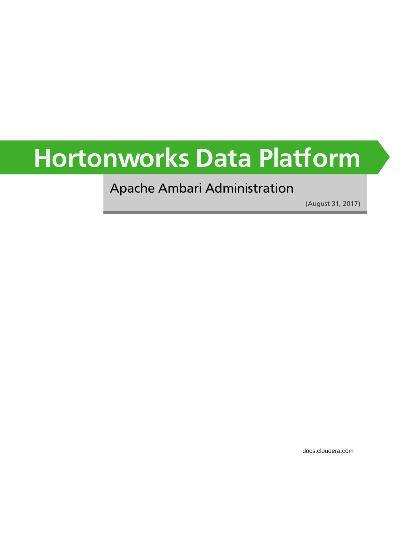# **Hortonworks Data Platform**

### Apache Ambari Administration

(August 31, 2017)

[docs.cloudera.com](http://docs.cloudera.com)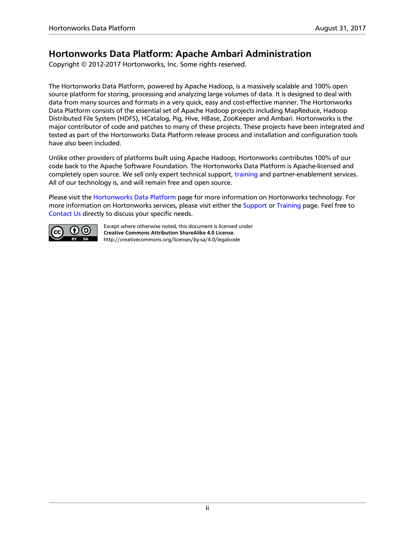### **Hortonworks Data Platform: Apache Ambari Administration**

Copyright © 2012-2017 Hortonworks, Inc. Some rights reserved.

The Hortonworks Data Platform, powered by Apache Hadoop, is a massively scalable and 100% open source platform for storing, processing and analyzing large volumes of data. It is designed to deal with data from many sources and formats in a very quick, easy and cost-effective manner. The Hortonworks Data Platform consists of the essential set of Apache Hadoop projects including MapReduce, Hadoop Distributed File System (HDFS), HCatalog, Pig, Hive, HBase, ZooKeeper and Ambari. Hortonworks is the major contributor of code and patches to many of these projects. These projects have been integrated and tested as part of the Hortonworks Data Platform release process and installation and configuration tools have also been included.

Unlike other providers of platforms built using Apache Hadoop, Hortonworks contributes 100% of our code back to the Apache Software Foundation. The Hortonworks Data Platform is Apache-licensed and completely open source. We sell only expert technical support, [training](https://hortonworks.com/training/) and partner-enablement services. All of our technology is, and will remain free and open source.

Please visit the [Hortonworks Data Platform](https://hortonworks.com/technology/hortonworksdataplatform) page for more information on Hortonworks technology. For more information on Hortonworks services, please visit either the [Support](https://hortonworks.com/support) or [Training](https://hortonworks.com/training/) page. Feel free to [Contact Us](https://hortonworks.com/about-us/contact-us/) directly to discuss your specific needs.



Except where otherwise noted, this document is licensed under **[Creative Commons Attribution ShareAlike 4.0 License](http://creativecommons.org/licenses/by-sa/4.0/legalcode)**. <http://creativecommons.org/licenses/by-sa/4.0/legalcode>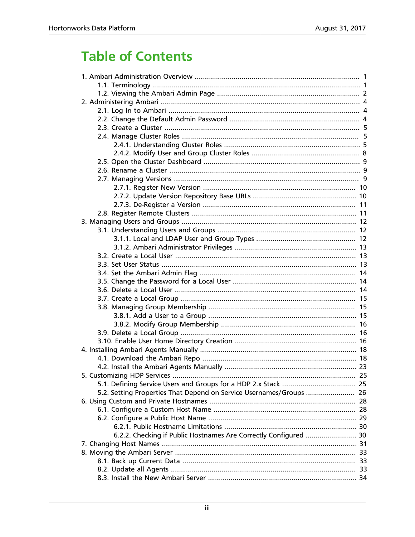### **Table of Contents**

| 5.2. Setting Properties That Depend on Service Usernames/Groups  26 |  |
|---------------------------------------------------------------------|--|
|                                                                     |  |
|                                                                     |  |
|                                                                     |  |
|                                                                     |  |
| 6.2.2. Checking if Public Hostnames Are Correctly Configured  30    |  |
|                                                                     |  |
|                                                                     |  |
|                                                                     |  |
|                                                                     |  |
|                                                                     |  |
|                                                                     |  |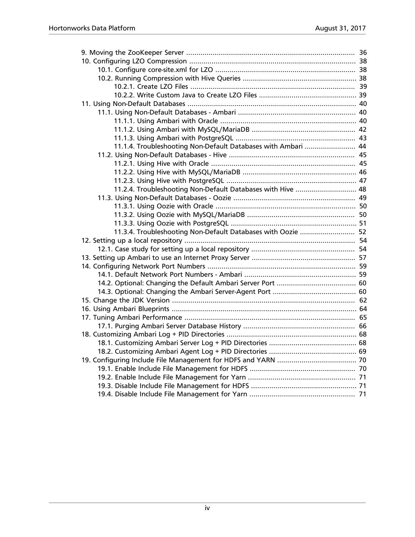| 11.1.4. Troubleshooting Non-Default Databases with Ambari  44 |  |
|---------------------------------------------------------------|--|
|                                                               |  |
|                                                               |  |
|                                                               |  |
|                                                               |  |
| 11.2.4. Troubleshooting Non-Default Databases with Hive  48   |  |
|                                                               |  |
|                                                               |  |
|                                                               |  |
|                                                               |  |
| 11.3.4. Troubleshooting Non-Default Databases with Oozie  52  |  |
|                                                               |  |
|                                                               |  |
|                                                               |  |
|                                                               |  |
|                                                               |  |
|                                                               |  |
|                                                               |  |
|                                                               |  |
|                                                               |  |
|                                                               |  |
|                                                               |  |
|                                                               |  |
|                                                               |  |
|                                                               |  |
|                                                               |  |
|                                                               |  |
|                                                               |  |
|                                                               |  |
|                                                               |  |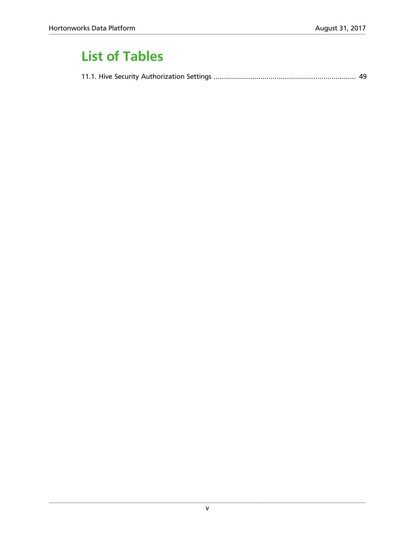### **List of Tables**

|--|--|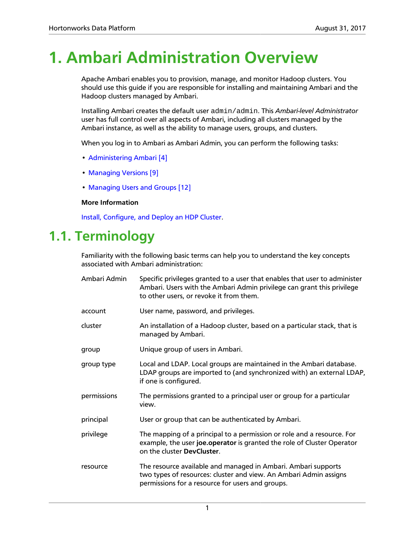# <span id="page-5-0"></span>**1. Ambari Administration Overview**

Apache Ambari enables you to provision, manage, and monitor Hadoop clusters. You should use this guide if you are responsible for installing and maintaining Ambari and the Hadoop clusters managed by Ambari.

Installing Ambari creates the default user admin/admin. This *Ambari-level Administrator* user has full control over all aspects of Ambari, including all clusters managed by the Ambari instance, as well as the ability to manage users, groups, and clusters.

When you log in to Ambari as Ambari Admin, you can perform the following tasks:

- [Administering Ambari \[4\]](#page-8-0)
- [Managing Versions \[9\]](#page-13-2)
- [Managing Users and Groups \[12\]](#page-16-0)

#### **More Information**

[Install, Configure, and Deploy an HDP Cluster.](https://docs.hortonworks.com/HDPDocuments/Ambari-2.5.2.0/bk_ambari-installation/content/ch_Deploy_and_Configure_a_HDP_Cluster.html)

### <span id="page-5-1"></span>**1.1. Terminology**

Familiarity with the following basic terms can help you to understand the key concepts associated with Ambari administration:

| Ambari Admin | Specific privileges granted to a user that enables that user to administer<br>Ambari. Users with the Ambari Admin privilege can grant this privilege<br>to other users, or revoke it from them. |  |  |  |
|--------------|-------------------------------------------------------------------------------------------------------------------------------------------------------------------------------------------------|--|--|--|
| account      | User name, password, and privileges.                                                                                                                                                            |  |  |  |
| cluster      | An installation of a Hadoop cluster, based on a particular stack, that is<br>managed by Ambari.                                                                                                 |  |  |  |
| group        | Unique group of users in Ambari.                                                                                                                                                                |  |  |  |
| group type   | Local and LDAP. Local groups are maintained in the Ambari database.<br>LDAP groups are imported to (and synchronized with) an external LDAP,<br>if one is configured.                           |  |  |  |
| permissions  | The permissions granted to a principal user or group for a particular<br>view.                                                                                                                  |  |  |  |
| principal    | User or group that can be authenticated by Ambari.                                                                                                                                              |  |  |  |
| privilege    | The mapping of a principal to a permission or role and a resource. For<br>example, the user joe. operator is granted the role of Cluster Operator<br>on the cluster DevCluster.                 |  |  |  |
| resource     | The resource available and managed in Ambari. Ambari supports<br>two types of resources: cluster and view. An Ambari Admin assigns<br>permissions for a resource for users and groups.          |  |  |  |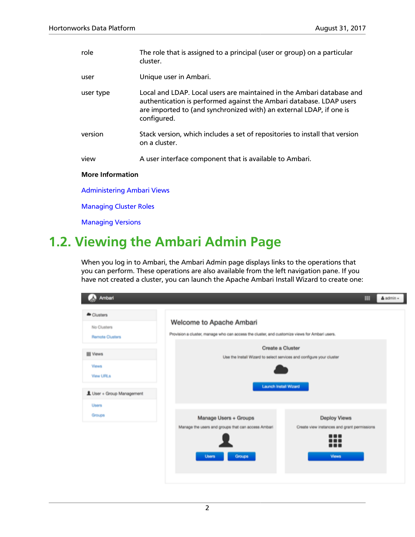| role                              | The role that is assigned to a principal (user or group) on a particular<br>cluster.                                                                                                                                               |  |  |  |
|-----------------------------------|------------------------------------------------------------------------------------------------------------------------------------------------------------------------------------------------------------------------------------|--|--|--|
| user                              | Unique user in Ambari.                                                                                                                                                                                                             |  |  |  |
| user type                         | Local and LDAP. Local users are maintained in the Ambari database and<br>authentication is performed against the Ambari database. LDAP users<br>are imported to (and synchronized with) an external LDAP, if one is<br>configured. |  |  |  |
| version                           | Stack version, which includes a set of repositories to install that version<br>on a cluster.                                                                                                                                       |  |  |  |
| view                              | A user interface component that is available to Ambari.                                                                                                                                                                            |  |  |  |
| <b>More Information</b>           |                                                                                                                                                                                                                                    |  |  |  |
| <b>Administering Ambari Views</b> |                                                                                                                                                                                                                                    |  |  |  |
| <b>Managing Cluster Roles</b>     |                                                                                                                                                                                                                                    |  |  |  |
| <b>Managing Versions</b>          |                                                                                                                                                                                                                                    |  |  |  |

### <span id="page-6-0"></span>**1.2. Viewing the Ambari Admin Page**

When you log in to Ambari, the Ambari Admin page displays links to the operations that you can perform. These operations are also available from the left navigation pane. If you have not created a cluster, you can launch the Apache Ambari Install Wizard to create one:

| Ambari                                                              |                                                                                                                           | m                                                                                           | $\triangle$ admin $\sim$ |
|---------------------------------------------------------------------|---------------------------------------------------------------------------------------------------------------------------|---------------------------------------------------------------------------------------------|--------------------------|
| Clusters<br>No Clusters<br><b>Remote Clusters</b>                   | Welcome to Apache Ambari<br>Provision a cluster, manage who can access the cluster, and customize views for Ambari users. |                                                                                             |                          |
| <b>III</b> Views<br>Views<br>View URLs<br>L User + Group Management | Create a Cluster<br>Use the install Wizard to select services and configure your cluster<br><b>Launch Install Wizard</b>  |                                                                                             |                          |
| <b>Users</b><br>Groups                                              | Manage Users + Groups<br>Manage the users and groups that can access Ambari<br>Groups<br><b>Users</b>                     | Deploy Views<br>Create view instances and grant permissions<br><br>.<br>---<br><b>Views</b> |                          |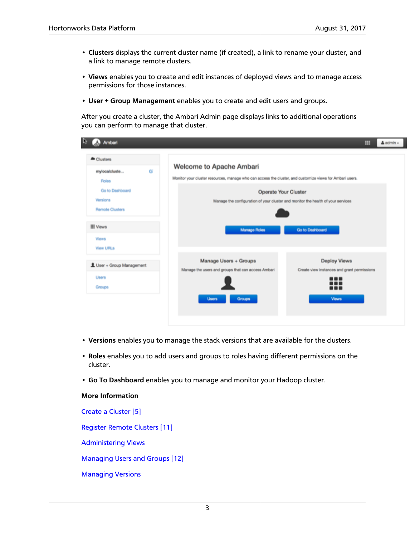- **Clusters** displays the current cluster name (if created), a link to rename your cluster, and a link to manage remote clusters.
- **Views** enables you to create and edit instances of deployed views and to manage access permissions for those instances.
- **User + Group Management** enables you to create and edit users and groups.

After you create a cluster, the Ambari Admin page displays links to additional operations you can perform to manage that cluster.

| Ambari                                                            |                                                                                                                                                              | m                                                                         | $A$ admin $-$ |
|-------------------------------------------------------------------|--------------------------------------------------------------------------------------------------------------------------------------------------------------|---------------------------------------------------------------------------|---------------|
| Clusters<br>ø<br>mylocalcluste<br><b>Roles</b><br>Go to Dashboard | Welcome to Apache Ambari<br>Monitor your cluster resources, manage who can access the cluster, and customize views for Ambari users.<br>Operate Your Cluster |                                                                           |               |
| Versions<br>Remote Clusters<br><b>III</b> Views                   | Manage the configuration of your cluster and monitor the health of your services<br><b>Manage Roles</b>                                                      | Go to Dashboard                                                           |               |
| Views<br>View URLs                                                |                                                                                                                                                              |                                                                           |               |
| L User + Group Management<br><b>Users</b><br>Groups               | Manage Users + Groups<br>Manage the users and groups that can access Ambari                                                                                  | Deploy Views<br>Create view instances and grant permissions<br>---<br>--- |               |
|                                                                   | Groups<br><b>Users</b>                                                                                                                                       | <b>Views</b>                                                              |               |

- **Versions** enables you to manage the stack versions that are available for the clusters.
- **Roles** enables you to add users and groups to roles having different permissions on the cluster.
- **Go To Dashboard** enables you to manage and monitor your Hadoop cluster.

**More Information**

[Create a Cluster \[5\]](#page-9-0)

[Register Remote Clusters \[11\]](#page-15-1)

[Administering Views](https://docs.hortonworks.com/HDPDocuments/Ambari-2.5.2.0/bk_ambari-views/content/ch_administering_ambari_views.html)

[Managing Users and Groups \[12\]](#page-16-0)

[Managing Versions](https://docs.hortonworks.com/HDPDocuments/Ambari-2.5.2.0/bk_ambari-administration/content/managing_versions.html)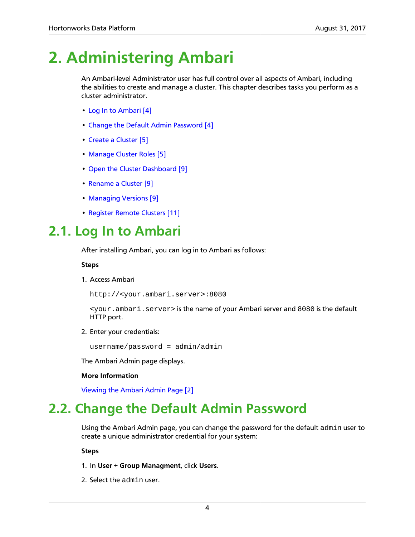# <span id="page-8-0"></span>**2. Administering Ambari**

An Ambari-level Administrator user has full control over all aspects of Ambari, including the abilities to create and manage a cluster. This chapter describes tasks you perform as a cluster administrator.

- [Log In to Ambari \[4\]](#page-8-1)
- [Change the Default Admin Password \[4\]](#page-8-2)
- [Create a Cluster \[5\]](#page-9-0)
- [Manage Cluster Roles \[5\]](#page-9-1)
- [Open the Cluster Dashboard \[9\]](#page-13-0)
- [Rename a Cluster \[9\]](#page-13-1)
- [Managing Versions \[9\]](#page-13-2)
- [Register Remote Clusters \[11\]](#page-15-1)

### <span id="page-8-1"></span>**2.1. Log In to Ambari**

After installing Ambari, you can log in to Ambari as follows:

**Steps**

1. Access Ambari

http://<your.ambari.server>:8080

<your.ambari.server> is the name of your Ambari server and 8080 is the default HTTP port.

2. Enter your credentials:

username/password = admin/admin

The Ambari Admin page displays.

### **More Information**

[Viewing the Ambari Admin Page \[2\]](#page-6-0)

### <span id="page-8-2"></span>**2.2. Change the Default Admin Password**

Using the Ambari Admin page, you can change the password for the default admin user to create a unique administrator credential for your system:

- 1. In **User + Group Managment**, click **Users**.
- 2. Select the admin user.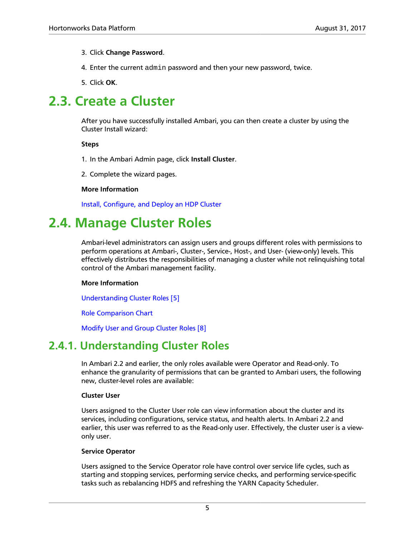#### 3. Click **Change Password**.

- 4. Enter the current admin password and then your new password, twice.
- 5. Click **OK**.

### <span id="page-9-0"></span>**2.3. Create a Cluster**

After you have successfully installed Ambari, you can then create a cluster by using the Cluster Install wizard:

**Steps**

- 1. In the Ambari Admin page, click **Install Cluster**.
- 2. Complete the wizard pages.

#### **More Information**

[Install, Configure, and Deploy an HDP Cluster](https://docs.hortonworks.com/HDPDocuments/Ambari-2.5.2.0/bk_ambari-installation/content/ch_Deploy_and_Configure_a_HDP_Cluster.html)

### <span id="page-9-1"></span>**2.4. Manage Cluster Roles**

Ambari-level administrators can assign users and groups different roles with permissions to perform operations at Ambari-, Cluster-, Service-, Host-, and User- (view-only) levels. This effectively distributes the responsibilities of managing a cluster while not relinquishing total control of the Ambari management facility.

### **More Information**

[Understanding Cluster Roles \[5\]](#page-9-2)

[Role Comparison Chart](https://docs.hortonworks.com/HDPDocuments/Ambari-2.5.2.0/bk_ambari-administration/content/cluster_roles.html#role_comparison_chart)

[Modify User and Group Cluster Roles \[8\]](#page-12-0)

### <span id="page-9-2"></span>**2.4.1. Understanding Cluster Roles**

In Ambari 2.2 and earlier, the only roles available were Operator and Read-only. To enhance the granularity of permissions that can be granted to Ambari users, the following new, cluster-level roles are available:

#### **Cluster User**

Users assigned to the Cluster User role can view information about the cluster and its services, including configurations, service status, and health alerts. In Ambari 2.2 and earlier, this user was referred to as the Read-only user. Effectively, the cluster user is a viewonly user.

#### **Service Operator**

Users assigned to the Service Operator role have control over service life cycles, such as starting and stopping services, performing service checks, and performing service-specific tasks such as rebalancing HDFS and refreshing the YARN Capacity Scheduler.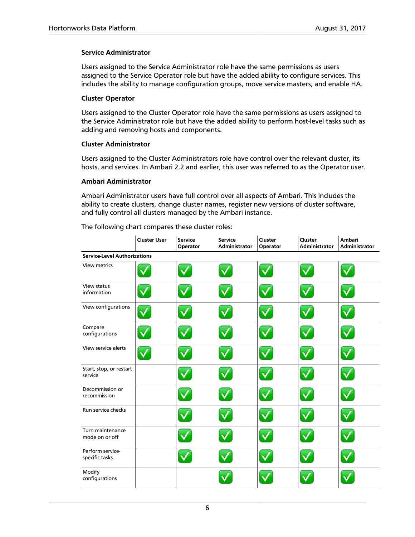#### **Service Administrator**

Users assigned to the Service Administrator role have the same permissions as users assigned to the Service Operator role but have the added ability to configure services. This includes the ability to manage configuration groups, move service masters, and enable HA.

#### **Cluster Operator**

Users assigned to the Cluster Operator role have the same permissions as users assigned to the Service Administrator role but have the added ability to perform host-level tasks such as adding and removing hosts and components.

#### **Cluster Administrator**

Users assigned to the Cluster Administrators role have control over the relevant cluster, its hosts, and services. In Ambari 2.2 and earlier, this user was referred to as the Operator user.

#### **Ambari Administrator**

Ambari Administrator users have full control over all aspects of Ambari. This includes the ability to create clusters, change cluster names, register new versions of cluster software, and fully control all clusters managed by the Ambari instance.

The following chart compares these cluster roles:

|                                     | <b>Cluster User</b> | Service<br>Operator | <b>Service</b><br><b>Administrator</b> | Cluster<br>Operator | Cluster<br><b>Administrator</b> | <b>Ambari</b><br><b>Administrator</b> |
|-------------------------------------|---------------------|---------------------|----------------------------------------|---------------------|---------------------------------|---------------------------------------|
| <b>Service-Level Authorizations</b> |                     |                     |                                        |                     |                                 |                                       |
| <b>View metrics</b>                 |                     |                     |                                        |                     |                                 |                                       |
| View status<br>information          |                     |                     |                                        |                     |                                 |                                       |
| View configurations                 |                     |                     |                                        |                     |                                 |                                       |
| Compare<br>configurations           |                     |                     |                                        |                     |                                 |                                       |
| View service alerts                 |                     |                     |                                        |                     |                                 |                                       |
| Start, stop, or restart<br>service  |                     |                     |                                        |                     |                                 |                                       |
| Decommission or<br>recommission     |                     |                     |                                        |                     |                                 |                                       |
| Run service checks                  |                     |                     |                                        |                     |                                 |                                       |
| Turn maintenance<br>mode on or off  |                     |                     |                                        |                     |                                 |                                       |
| Perform service-<br>specific tasks  |                     |                     |                                        |                     |                                 |                                       |
| Modify<br>configurations            |                     |                     |                                        |                     |                                 |                                       |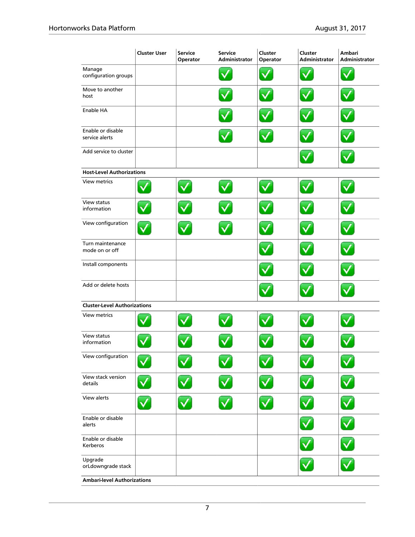|                                     | <b>Cluster User</b> | <b>Service</b><br>Operator | <b>Service</b><br>Administrator | Cluster<br>Operator | Cluster<br>Administrator | Ambari<br>Administrator |
|-------------------------------------|---------------------|----------------------------|---------------------------------|---------------------|--------------------------|-------------------------|
| Manage<br>configuration groups      |                     |                            |                                 |                     |                          |                         |
| Move to another<br>host             |                     |                            |                                 |                     |                          |                         |
| Enable HA                           |                     |                            |                                 |                     |                          |                         |
| Enable or disable<br>service alerts |                     |                            |                                 |                     |                          |                         |
| Add service to cluster              |                     |                            |                                 |                     |                          |                         |
| <b>Host-Level Authorizations</b>    |                     |                            |                                 |                     |                          |                         |
| <b>View metrics</b>                 |                     |                            |                                 |                     |                          |                         |
| View status<br>information          |                     |                            |                                 |                     |                          |                         |
| View configuration                  |                     |                            |                                 |                     |                          |                         |
| Turn maintenance<br>mode on or off  |                     |                            |                                 |                     |                          |                         |
| Install components                  |                     |                            |                                 |                     |                          |                         |
| Add or delete hosts                 |                     |                            |                                 |                     |                          |                         |
| <b>Cluster-Level Authorizations</b> |                     |                            |                                 |                     |                          |                         |
| <b>View metrics</b>                 |                     |                            |                                 |                     |                          |                         |
| View status<br>information          |                     |                            |                                 |                     |                          |                         |
| View configuration                  |                     |                            |                                 |                     |                          |                         |
| View stack version<br>details       |                     |                            |                                 |                     |                          |                         |
| View alerts                         |                     |                            |                                 |                     |                          | $\overline{\checkmark}$ |
| Enable or disable<br>alerts         |                     |                            |                                 |                     |                          |                         |
| Enable or disable<br>Kerberos       |                     |                            |                                 |                     |                          | $\checkmark$            |
| Upgrade<br>orLdowngrade stack       |                     |                            |                                 |                     |                          |                         |
| <b>Ambari-level Authorizations</b>  |                     |                            |                                 |                     |                          |                         |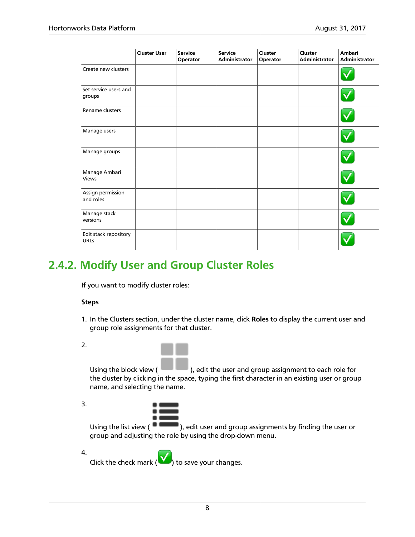|                                      | <b>Cluster User</b> | <b>Service</b><br>Operator | <b>Service</b><br>Administrator | Cluster<br>Operator | Cluster<br>Administrator | Ambari<br>Administrator |
|--------------------------------------|---------------------|----------------------------|---------------------------------|---------------------|--------------------------|-------------------------|
| Create new clusters                  |                     |                            |                                 |                     |                          |                         |
| Set service users and<br>groups      |                     |                            |                                 |                     |                          |                         |
| Rename clusters                      |                     |                            |                                 |                     |                          |                         |
| Manage users                         |                     |                            |                                 |                     |                          |                         |
| Manage groups                        |                     |                            |                                 |                     |                          |                         |
| Manage Ambari<br>Views               |                     |                            |                                 |                     |                          |                         |
| Assign permission<br>and roles       |                     |                            |                                 |                     |                          |                         |
| Manage stack<br>versions             |                     |                            |                                 |                     |                          |                         |
| Edit stack repository<br><b>URLs</b> |                     |                            |                                 |                     |                          |                         |

### <span id="page-12-0"></span>**2.4.2. Modify User and Group Cluster Roles**

If you want to modify cluster roles:

#### **Steps**

- 1. In the Clusters section, under the cluster name, click **Roles** to display the current user and group role assignments for that cluster.
- 2.

Using the block view ( ), edit the user and group assignment to each role for the cluster by clicking in the space, typing the first character in an existing user or group name, and selecting the name.

3.

Using the list view ( $\Box$ ), edit user and group assignments by finding the user or group and adjusting the role by using the drop-down menu.

4. Click the check mark  $\left(\bigvee\right)$  to save your changes.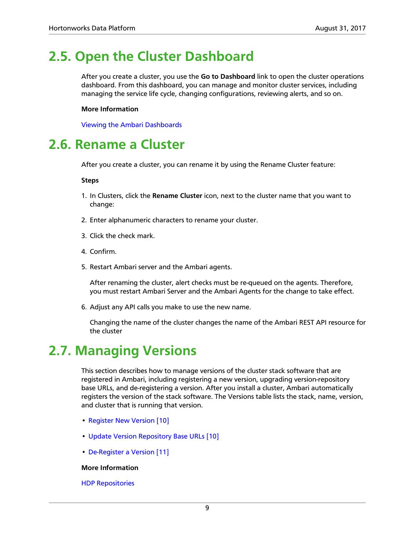### <span id="page-13-0"></span>**2.5. Open the Cluster Dashboard**

After you create a cluster, you use the **Go to Dashboard** link to open the cluster operations dashboard. From this dashboard, you can manage and monitor cluster services, including managing the service life cycle, changing configurations, reviewing alerts, and so on.

### **More Information**

[Viewing the Ambari Dashboards](https://docs.hortonworks.com/HDPDocuments/Ambari-2.5.2.0/bk_ambari-operations/content/ch_viewing_the_ambari_dashboards.html)

### <span id="page-13-1"></span>**2.6. Rename a Cluster**

After you create a cluster, you can rename it by using the Rename Cluster feature:

#### **Steps**

- 1. In Clusters, click the **Rename Cluster** icon, next to the cluster name that you want to change:
- 2. Enter alphanumeric characters to rename your cluster.
- 3. Click the check mark.
- 4. Confirm.
- 5. Restart Ambari server and the Ambari agents.

After renaming the cluster, alert checks must be re-queued on the agents. Therefore, you must restart Ambari Server and the Ambari Agents for the change to take effect.

6. Adjust any API calls you make to use the new name.

Changing the name of the cluster changes the name of the Ambari REST API resource for the cluster

### <span id="page-13-2"></span>**2.7. Managing Versions**

This section describes how to manage versions of the cluster stack software that are registered in Ambari, including registering a new version, upgrading version-repository base URLs, and de-registering a version. After you install a cluster, Ambari automatically registers the version of the stack software. The Versions table lists the stack, name, version, and cluster that is running that version.

- [Register New Version \[10\]](#page-14-0)
- [Update Version Repository Base URLs \[10\]](#page-14-1)
- [De-Register a Version \[11\]](#page-15-0)

### **More Information**

[HDP Repositories](https://docs.hortonworks.com/HDPDocuments/Ambari-2.5.2.0/bk_ambari-installation/content/hdp_stack_repositories.html)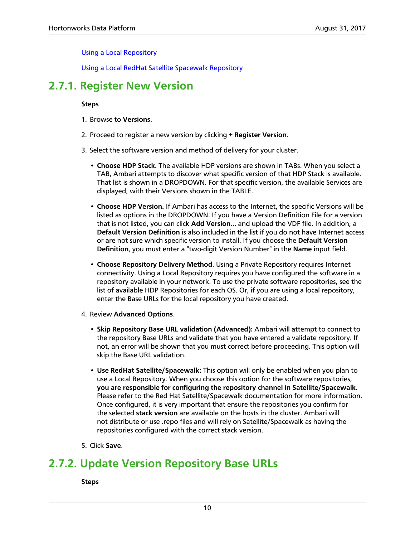[Using a Local Repository](https://docs.hortonworks.com/HDPDocuments/Ambari-2.5.2.0/bk_ambari-installation/content/ch_using-local-repos.html)

[Using a Local RedHat Satellite Spacewalk Repository](https://docs.hortonworks.com/HDPDocuments/Ambari-2.5.2.0/bk_ambari-installation/content/using_a_local_redHat_satellite_spacewalk_repo.html)

### <span id="page-14-0"></span>**2.7.1. Register New Version**

### **Steps**

- 1. Browse to **Versions**.
- 2. Proceed to register a new version by clicking **+ Register Version**.
- 3. Select the software version and method of delivery for your cluster.
	- **Choose HDP Stack.** The available HDP versions are shown in TABs. When you select a TAB, Ambari attempts to discover what specific version of that HDP Stack is available. That list is shown in a DROPDOWN. For that specific version, the available Services are displayed, with their Versions shown in the TABLE.
	- **Choose HDP Version.** If Ambari has access to the Internet, the specific Versions will be listed as options in the DROPDOWN. If you have a Version Definition File for a version that is not listed, you can click **Add Version…** and upload the VDF file. In addition, a **Default Version Definition** is also included in the list if you do not have Internet access or are not sure which specific version to install. If you choose the **Default Version Definition**, you must enter a "two-digit Version Number" in the **Name** input field.
	- **Choose Repository Delivery Method**. Using a Private Repository requires Internet connectivity. Using a Local Repository requires you have configured the software in a repository available in your network. To use the private software repositories, see the list of available HDP Repositories for each OS. Or, if you are using a local repository, enter the Base URLs for the local repository you have created.
- 4. Review **Advanced Options**.
	- **Skip Repository Base URL validation (Advanced):** Ambari will attempt to connect to the repository Base URLs and validate that you have entered a validate repository. If not, an error will be shown that you must correct before proceeding. This option will skip the Base URL validation.
	- **Use RedHat Satellite/Spacewalk:** This option will only be enabled when you plan to use a Local Repository. When you choose this option for the software repositories, **you are responsible for configuring the repository channel in Satellite/Spacewalk**. Please refer to the Red Hat Satellite/Spacewalk documentation for more information. Once configured, it is very important that ensure the repositories you confirm for the selected **stack version** are available on the hosts in the cluster. Ambari will not distribute or use .repo files and will rely on Satellite/Spacewalk as having the repositories configured with the correct stack version.
- 5. Click **Save**.

### <span id="page-14-1"></span>**2.7.2. Update Version Repository Base URLs**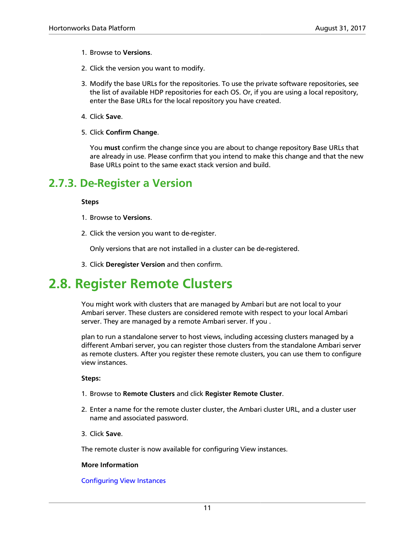- 1. Browse to **Versions**.
- 2. Click the version you want to modify.
- 3. Modify the base URLs for the repositories. To use the private software repositories, see the list of available HDP repositories for each OS. Or, if you are using a local repository, enter the Base URLs for the local repository you have created.
- 4. Click **Save**.
- 5. Click **Confirm Change**.

You **must** confirm the change since you are about to change repository Base URLs that are already in use. Please confirm that you intend to make this change and that the new Base URLs point to the same exact stack version and build.

### <span id="page-15-0"></span>**2.7.3. De-Register a Version**

#### **Steps**

- 1. Browse to **Versions**.
- 2. Click the version you want to de-register.

Only versions that are not installed in a cluster can be de-registered.

3. Click **Deregister Version** and then confirm.

### <span id="page-15-1"></span>**2.8. Register Remote Clusters**

You might work with clusters that are managed by Ambari but are not local to your Ambari server. These clusters are considered remote with respect to your local Ambari server. They are managed by a remote Ambari server. If you .

plan to run a standalone server to host views, including accessing clusters managed by a different Ambari server, you can register those clusters from the standalone Ambari server as remote clusters. After you register these remote clusters, you can use them to configure view instances.

#### **Steps:**

- 1. Browse to **Remote Clusters** and click **Register Remote Cluster**.
- 2. Enter a name for the remote cluster cluster, the Ambari cluster URL, and a cluster user name and associated password.
- 3. Click **Save**.

The remote cluster is now available for configuring View instances.

#### **More Information**

### [Configuring View Instances](https://docs.hortonworks.com/HDPDocuments/Ambari-2.5.2.0/bk_ambari-views/content/configuring_view_instances.html)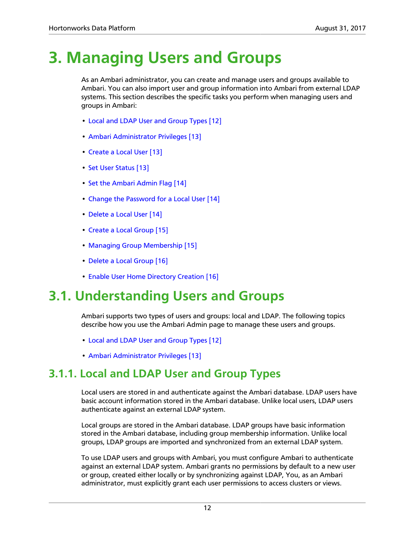# <span id="page-16-0"></span>**3. Managing Users and Groups**

As an Ambari administrator, you can create and manage users and groups available to Ambari. You can also import user and group information into Ambari from external LDAP systems. This section describes the specific tasks you perform when managing users and groups in Ambari:

- [Local and LDAP User and Group Types \[12\]](#page-16-2)
- [Ambari Administrator Privileges \[13\]](#page-17-0)
- [Create a Local User \[13\]](#page-17-1)
- [Set User Status \[13\]](#page-17-2)
- [Set the Ambari Admin Flag \[14\]](#page-18-0)
- [Change the Password for a Local User \[14\]](#page-18-1)
- [Delete a Local User \[14\]](#page-18-2)
- [Create a Local Group \[15\]](#page-19-0)
- [Managing Group Membership \[15\]](#page-19-1)
- [Delete a Local Group \[16\]](#page-20-1)
- [Enable User Home Directory Creation \[16\]](#page-20-2)

### <span id="page-16-1"></span>**3.1. Understanding Users and Groups**

Ambari supports two types of users and groups: local and LDAP. The following topics describe how you use the Ambari Admin page to manage these users and groups.

- [Local and LDAP User and Group Types \[12\]](#page-16-2)
- [Ambari Administrator Privileges \[13\]](#page-17-0)

### <span id="page-16-2"></span>**3.1.1. Local and LDAP User and Group Types**

Local users are stored in and authenticate against the Ambari database. LDAP users have basic account information stored in the Ambari database. Unlike local users, LDAP users authenticate against an external LDAP system.

Local groups are stored in the Ambari database. LDAP groups have basic information stored in the Ambari database, including group membership information. Unlike local groups, LDAP groups are imported and synchronized from an external LDAP system.

To use LDAP users and groups with Ambari, you must configure Ambari to authenticate against an external LDAP system. Ambari grants no permissions by default to a new user or group, created either locally or by synchronizing against LDAP, You, as an Ambari administrator, must explicitly grant each user permissions to access clusters or views.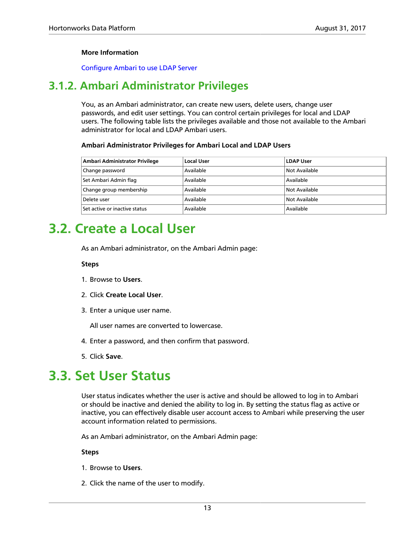### **More Information**

[Configure Ambari to use LDAP Server](https://docs.hortonworks.com/HDPDocuments/Ambari-2.5.2.0/bk_ambari-security/content/configure_ambari_to_use_ldap_server.html)

### <span id="page-17-0"></span>**3.1.2. Ambari Administrator Privileges**

You, as an Ambari administrator, can create new users, delete users, change user passwords, and edit user settings. You can control certain privileges for local and LDAP users. The following table lists the privileges available and those not available to the Ambari administrator for local and LDAP Ambari users.

### **Ambari Administrator Privileges for Ambari Local and LDAP Users**

| Ambari Administrator Privilege | <b>Local User</b> | <b>LDAP User</b> |
|--------------------------------|-------------------|------------------|
| Change password                | Available         | Not Available    |
| Set Ambari Admin flag          | Available         | Available        |
| Change group membership        | Available         | Not Available    |
| Delete user                    | Available         | Not Available    |
| Set active or inactive status  | Available         | Available        |

### <span id="page-17-1"></span>**3.2. Create a Local User**

As an Ambari administrator, on the Ambari Admin page:

#### **Steps**

- 1. Browse to **Users**.
- 2. Click **Create Local User**.
- 3. Enter a unique user name.

All user names are converted to lowercase.

- 4. Enter a password, and then confirm that password.
- 5. Click **Save**.

### <span id="page-17-2"></span>**3.3. Set User Status**

User status indicates whether the user is active and should be allowed to log in to Ambari or should be inactive and denied the ability to log in. By setting the status flag as active or inactive, you can effectively disable user account access to Ambari while preserving the user account information related to permissions.

As an Ambari administrator, on the Ambari Admin page:

- 1. Browse to **Users**.
- 2. Click the name of the user to modify.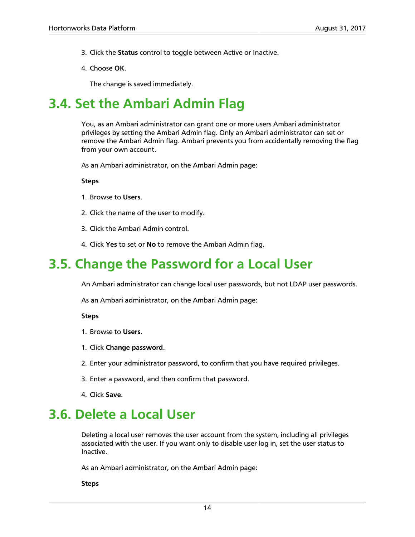- 3. Click the **Status** control to toggle between Active or Inactive.
- 4. Choose **OK**.

The change is saved immediately.

### <span id="page-18-0"></span>**3.4. Set the Ambari Admin Flag**

You, as an Ambari administrator can grant one or more users Ambari administrator privileges by setting the Ambari Admin flag. Only an Ambari administrator can set or remove the Ambari Admin flag. Ambari prevents you from accidentally removing the flag from your own account.

As an Ambari administrator, on the Ambari Admin page:

**Steps**

- 1. Browse to **Users**.
- 2. Click the name of the user to modify.
- 3. Click the Ambari Admin control.
- 4. Click **Yes** to set or **No** to remove the Ambari Admin flag.

### <span id="page-18-1"></span>**3.5. Change the Password for a Local User**

An Ambari administrator can change local user passwords, but not LDAP user passwords.

As an Ambari administrator, on the Ambari Admin page:

#### **Steps**

- 1. Browse to **Users**.
- 1. Click **Change password**.
- 2. Enter your administrator password, to confirm that you have required privileges.
- 3. Enter a password, and then confirm that password.
- 4. Click **Save**.

### <span id="page-18-2"></span>**3.6. Delete a Local User**

Deleting a local user removes the user account from the system, including all privileges associated with the user. If you want only to disable user log in, set the user status to Inactive.

As an Ambari administrator, on the Ambari Admin page: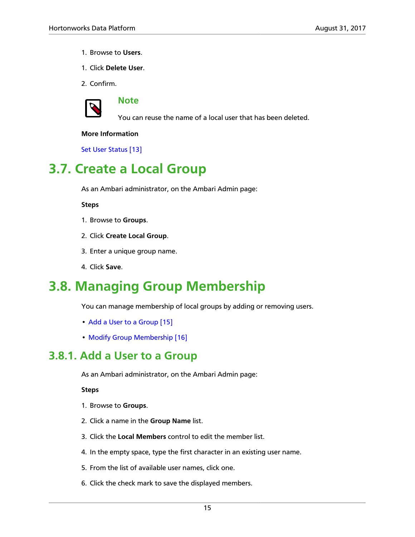- 1. Browse to **Users**.
- 1. Click **Delete User**.
- 2. Confirm.



**Note**

You can reuse the name of a local user that has been deleted.

### **More Information**

[Set User Status \[13\]](#page-17-2)

### <span id="page-19-0"></span>**3.7. Create a Local Group**

As an Ambari administrator, on the Ambari Admin page:

**Steps**

- 1. Browse to **Groups**.
- 2. Click **Create Local Group**.
- 3. Enter a unique group name.
- 4. Click **Save**.

### <span id="page-19-1"></span>**3.8. Managing Group Membership**

You can manage membership of local groups by adding or removing users.

- [Add a User to a Group \[15\]](#page-19-2)
- [Modify Group Membership \[16\]](#page-20-0)

### <span id="page-19-2"></span>**3.8.1. Add a User to a Group**

As an Ambari administrator, on the Ambari Admin page:

- 1. Browse to **Groups**.
- 2. Click a name in the **Group Name** list.
- 3. Click the **Local Members** control to edit the member list.
- 4. In the empty space, type the first character in an existing user name.
- 5. From the list of available user names, click one.
- 6. Click the check mark to save the displayed members.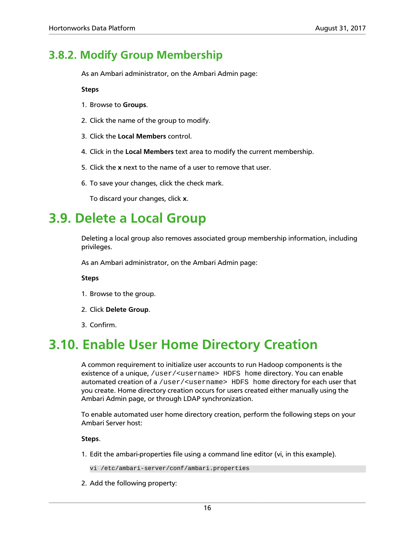### <span id="page-20-0"></span>**3.8.2. Modify Group Membership**

As an Ambari administrator, on the Ambari Admin page:

**Steps**

- 1. Browse to **Groups**.
- 2. Click the name of the group to modify.
- 3. Click the **Local Members** control.
- 4. Click in the **Local Members** text area to modify the current membership.
- 5. Click the **x** next to the name of a user to remove that user.
- 6. To save your changes, click the check mark.

To discard your changes, click **x**.

### <span id="page-20-1"></span>**3.9. Delete a Local Group**

Deleting a local group also removes associated group membership information, including privileges.

As an Ambari administrator, on the Ambari Admin page:

**Steps**

- 1. Browse to the group.
- 2. Click **Delete Group**.
- 3. Confirm.

### <span id="page-20-2"></span>**3.10. Enable User Home Directory Creation**

A common requirement to initialize user accounts to run Hadoop components is the existence of a unique, /user/<username> HDFS home directory. You can enable automated creation of a /user/<username> HDFS home directory for each user that you create. Home directory creation occurs for users created either manually using the Ambari Admin page, or through LDAP synchronization.

To enable automated user home directory creation, perform the following steps on your Ambari Server host:

**Steps**.

1. Edit the ambari-properties file using a command line editor (vi, in this example).

vi /etc/ambari-server/conf/ambari.properties

2. Add the following property: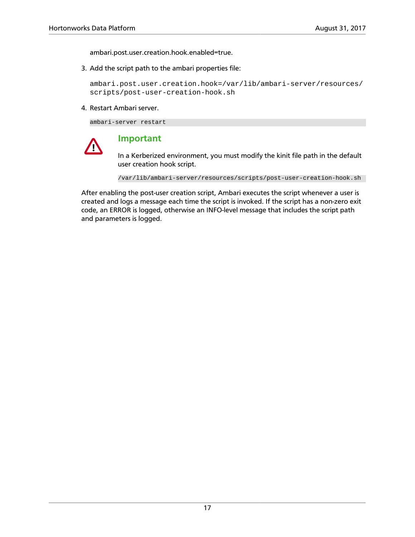ambari.post.user.creation.hook.enabled=true.

3. Add the script path to the ambari properties file:

ambari.post.user.creation.hook=/var/lib/ambari-server/resources/ scripts/post-user-creation-hook.sh

4. Restart Ambari server.

ambari-server restart



### **Important**

In a Kerberized environment, you must modify the kinit file path in the default user creation hook script.

/var/lib/ambari-server/resources/scripts/post-user-creation-hook.sh

After enabling the post-user creation script, Ambari executes the script whenever a user is created and logs a message each time the script is invoked. If the script has a non-zero exit code, an ERROR is logged, otherwise an INFO-level message that includes the script path and parameters is logged.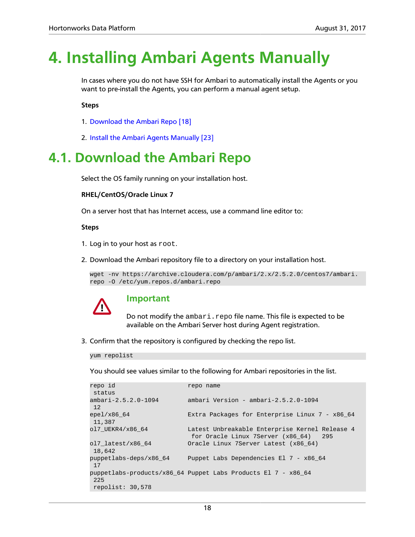## <span id="page-22-0"></span>**4. Installing Ambari Agents Manually**

In cases where you do not have SSH for Ambari to automatically install the Agents or you want to pre-install the Agents, you can perform a manual agent setup.

**Steps**

- 1. [Download the Ambari Repo \[18\]](#page-22-1)
- 2. [Install the Ambari Agents Manually \[23\]](#page-27-0)

### <span id="page-22-1"></span>**4.1. Download the Ambari Repo**

Select the OS family running on your installation host.

#### **RHEL/CentOS/Oracle Linux 7**

On a server host that has Internet access, use a command line editor to:

#### **Steps**

- 1. Log in to your host as root.
- 2. Download the Ambari repository file to a directory on your installation host.

```
wget -nv https://archive.cloudera.com/p/ambari/2.x/2.5.2.0/centos7/ambari.
repo -O /etc/yum.repos.d/ambari.repo
```


### **Important**

Do not modify the ambari.repo file name. This file is expected to be available on the Ambari Server host during Agent registration.

3. Confirm that the repository is configured by checking the repo list.

yum repolist

You should see values similar to the following for Ambari repositories in the list.

| repo id                       | repo name                                                                                  |
|-------------------------------|--------------------------------------------------------------------------------------------|
| status                        |                                                                                            |
| $ambari-2.5.2.0-1094$<br>12   | ambari Version - ambari-2.5.2.0-1094                                                       |
| epel/ $x86$ 64<br>11,387      | Extra Packages for Enterprise Linux 7 - x86 64                                             |
| ol7 UEKR4/x86 64              | Latest Unbreakable Enterprise Kernel Release 4<br>for Oracle Linux 7Server (x86 64)<br>295 |
| ol7 latest/ $x8664$<br>18,642 | Oracle Linux 7Server Latest (x86 64)                                                       |
| puppetlabs-deps/x86 64<br>17  | Puppet Labs Dependencies El 7 - x86 64                                                     |
| 225<br>repolist: $30,578$     | puppetlabs-products/ $x8664$ Puppet Labs Products El 7 - $x8664$                           |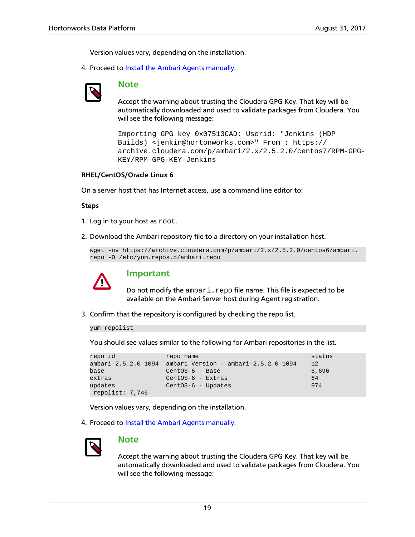Version values vary, depending on the installation.

4. Proceed to [Install the Ambari Agents manually.](#page-27-0)



### **Note**

Accept the warning about trusting the Cloudera GPG Key. That key will be automatically downloaded and used to validate packages from Cloudera. You will see the following message:

```
Importing GPG key 0x07513CAD: Userid: "Jenkins (HDP
Builds) <jenkin@hortonworks.com>" From : https://
archive.cloudera.com/p/ambari/2.x/2.5.2.0/centos7/RPM-GPG-
KEY/RPM-GPG-KEY-Jenkins
```
#### **RHEL/CentOS/Oracle Linux 6**

On a server host that has Internet access, use a command line editor to:

#### **Steps**

- 1. Log in to your host as root.
- 2. Download the Ambari repository file to a directory on your installation host.

```
wget -nv https://archive.cloudera.com/p/ambari/2.x/2.5.2.0/centos6/ambari.
repo -O /etc/yum.repos.d/ambari.repo
```


### **Important**

Do not modify the ambari.repo file name. This file is expected to be available on the Ambari Server host during Agent registration.

3. Confirm that the repository is configured by checking the repo list.

yum repolist

You should see values similar to the following for Ambari repositories in the list.

```
repo id status repo name status status status status status status status status status status status status status status status status status status status status status status status status status status status status s
ambari-2.5.2.0-1094 ambari Version - ambari-2.5.2.0-1094 12
base 6,696 CentOS-6 - Base 6,696
extras 64
updates CentOS-6 - Updates 974
 repolist: 7,746
```
Version values vary, depending on the installation.

4. Proceed to [Install the Ambari Agents manually.](#page-27-0)



### **Note**

Accept the warning about trusting the Cloudera GPG Key. That key will be automatically downloaded and used to validate packages from Cloudera. You will see the following message: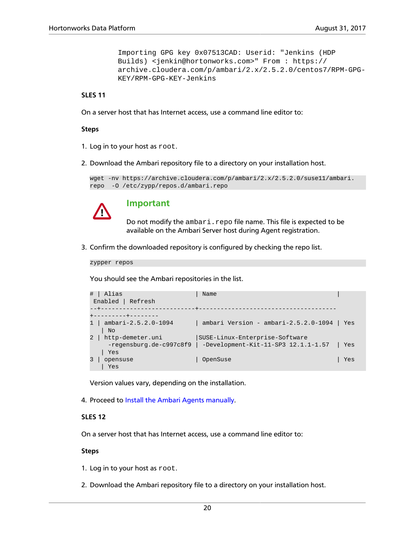```
Importing GPG key 0x07513CAD: Userid: "Jenkins (HDP
Builds) <jenkin@hortonworks.com>" From : https://
archive.cloudera.com/p/ambari/2.x/2.5.2.0/centos7/RPM-GPG-
KEY/RPM-GPG-KEY-Jenkins
```
#### **SLES 11**

On a server host that has Internet access, use a command line editor to:

#### **Steps**

- 1. Log in to your host as root.
- 2. Download the Ambari repository file to a directory on your installation host.

```
wget -nv https://archive.cloudera.com/p/ambari/2.x/2.5.2.0/suse11/ambari.
repo -O /etc/zypp/repos.d/ambari.repo
```


### **Important**

Do not modify the ambari.repo file name. This file is expected to be available on the Ambari Server host during Agent registration.

3. Confirm the downloaded repository is configured by checking the repo list.

zypper repos

You should see the Ambari repositories in the list.

```
# | Alias | Name
 Enabled | Refresh
--+--------------------------+--------------------------------------
+---------+--------
1 | ambari-2.5.2.0-1094 | ambari Version - ambari-2.5.2.0-1094 | Yes 
   | No
2 | http-demeter.uni | SUSE-Linux-Enterprise-Software
    -regensburg.de-c997c8f9 | -Development-Kit-11-SP3 12.1.1-1.57 | Yes 
   | Yes
3 | opensuse | \Box | OpenSuse | Yes
   | Yes
```
Version values vary, depending on the installation.

4. Proceed to [Install the Ambari Agents manually.](#page-27-0)

#### **SLES 12**

On a server host that has Internet access, use a command line editor to:

#### **Steps**

1. Log in to your host as root.

2. Download the Ambari repository file to a directory on your installation host.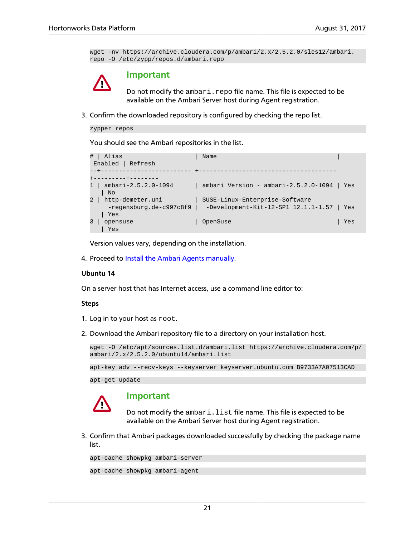```
wget -nv https://archive.cloudera.com/p/ambari/2.x/2.5.2.0/sles12/ambari.
repo -O /etc/zypp/repos.d/ambari.repo
```


### **Important**

Do not modify the ambari.repo file name. This file is expected to be available on the Ambari Server host during Agent registration.

3. Confirm the downloaded repository is configured by checking the repo list.

```
zypper repos
```
You should see the Ambari repositories in the list.



Version values vary, depending on the installation.

4. Proceed to [Install the Ambari Agents manually.](#page-27-0)

#### **Ubuntu 14**

On a server host that has Internet access, use a command line editor to:

#### **Steps**

- 1. Log in to your host as root.
- 2. Download the Ambari repository file to a directory on your installation host.

```
wget -O /etc/apt/sources.list.d/ambari.list https://archive.cloudera.com/p/
ambari/2.x/2.5.2.0/ubuntu14/ambari.list
```
apt-key adv --recv-keys --keyserver keyserver.ubuntu.com B9733A7A07513CAD

apt-get update



### **Important**

Do not modify the ambari.list file name. This file is expected to be available on the Ambari Server host during Agent registration.

3. Confirm that Ambari packages downloaded successfully by checking the package name list.

```
apt-cache showpkg ambari-server
apt-cache showpkg ambari-agent
```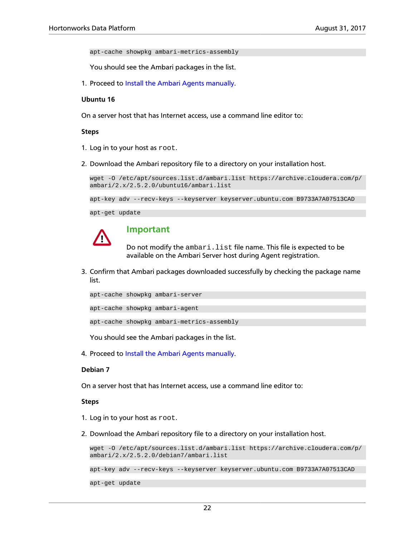apt-cache showpkg ambari-metrics-assembly

You should see the Ambari packages in the list.

1. Proceed to [Install the Ambari Agents manually.](#page-27-0)

#### **Ubuntu 16**

On a server host that has Internet access, use a command line editor to:

#### **Steps**

- 1. Log in to your host as root.
- 2. Download the Ambari repository file to a directory on your installation host.

```
wget -O /etc/apt/sources.list.d/ambari.list https://archive.cloudera.com/p/
ambari/2.x/2.5.2.0/ubuntu16/ambari.list
```

```
apt-key adv --recv-keys --keyserver keyserver.ubuntu.com B9733A7A07513CAD
```
apt-get update



### **Important**

Do not modify the ambari. list file name. This file is expected to be available on the Ambari Server host during Agent registration.

3. Confirm that Ambari packages downloaded successfully by checking the package name list.

|  | apt-cache showpkg ambari-server |  |
|--|---------------------------------|--|
|  |                                 |  |
|  | apt-cache showpkq ambari-agent  |  |

apt-cache showpkg ambari-metrics-assembly

You should see the Ambari packages in the list.

4. Proceed to [Install the Ambari Agents manually.](#page-27-0)

#### **Debian 7**

On a server host that has Internet access, use a command line editor to:

#### **Steps**

- 1. Log in to your host as root.
- 2. Download the Ambari repository file to a directory on your installation host.

wget -O /etc/apt/sources.list.d/ambari.list https://archive.cloudera.com/p/ ambari/2.x/2.5.2.0/debian7/ambari.list

apt-key adv --recv-keys --keyserver keyserver.ubuntu.com B9733A7A07513CAD

apt-get update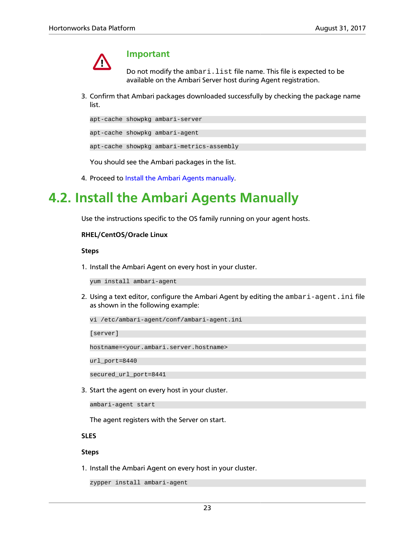

### **Important**

Do not modify the ambari. list file name. This file is expected to be available on the Ambari Server host during Agent registration.

3. Confirm that Ambari packages downloaded successfully by checking the package name list.

apt-cache showpkg ambari-server

apt-cache showpkg ambari-agent

apt-cache showpkg ambari-metrics-assembly

You should see the Ambari packages in the list.

4. Proceed to [Install the Ambari Agents manually.](#page-27-0)

### <span id="page-27-0"></span>**4.2. Install the Ambari Agents Manually**

Use the instructions specific to the OS family running on your agent hosts.

#### **RHEL/CentOS/Oracle Linux**

#### **Steps**

1. Install the Ambari Agent on every host in your cluster.

yum install ambari-agent

2. Using a text editor, configure the Ambari Agent by editing the ambari-agent.ini file as shown in the following example:

vi /etc/ambari-agent/conf/ambari-agent.ini

[server]

hostname=<your.ambari.server.hostname>

url\_port=8440

secured url port=8441

3. Start the agent on every host in your cluster.

ambari-agent start

The agent registers with the Server on start.

### **SLES**

#### **Steps**

1. Install the Ambari Agent on every host in your cluster.

```
zypper install ambari-agent
```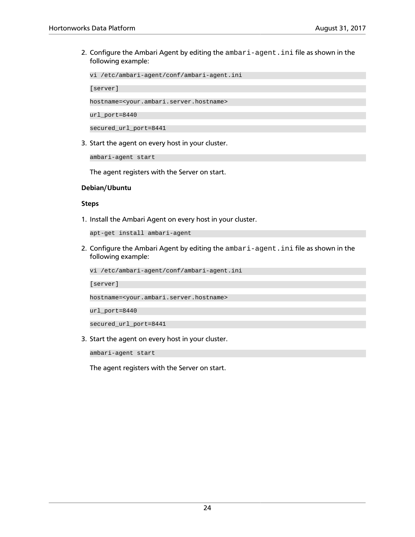2. Configure the Ambari Agent by editing the ambari-agent. ini file as shown in the following example:

vi /etc/ambari-agent/conf/ambari-agent.ini

[server]

hostname=<your.ambari.server.hostname>

url\_port=8440

secured\_url\_port=8441

3. Start the agent on every host in your cluster.

ambari-agent start

The agent registers with the Server on start.

#### **Debian/Ubuntu**

#### **Steps**

1. Install the Ambari Agent on every host in your cluster.

```
apt-get install ambari-agent
```
2. Configure the Ambari Agent by editing the ambari-agent.ini file as shown in the following example:

vi /etc/ambari-agent/conf/ambari-agent.ini

[server]

hostname=<your.ambari.server.hostname>

url\_port=8440

secured\_url\_port=8441

3. Start the agent on every host in your cluster.

ambari-agent start

The agent registers with the Server on start.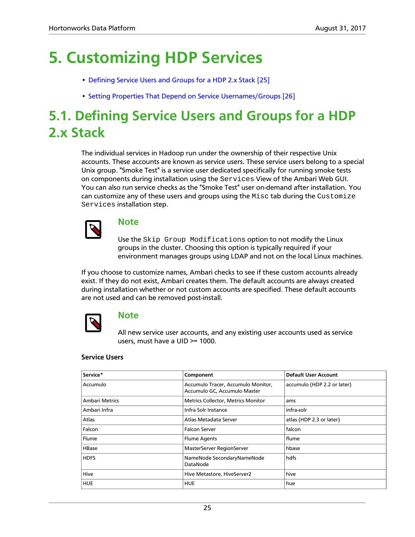# <span id="page-29-0"></span>**5. Customizing HDP Services**

- [Defining Service Users and Groups for a HDP 2.x Stack \[25\]](#page-29-1)
- [Setting Properties That Depend on Service Usernames/Groups \[26\]](#page-30-0)

### <span id="page-29-1"></span>**5.1. Defining Service Users and Groups for a HDP 2.x Stack**

The individual services in Hadoop run under the ownership of their respective Unix accounts. These accounts are known as service users. These service users belong to a special Unix group. "Smoke Test" is a service user dedicated specifically for running smoke tests on components during installation using the Services View of the Ambari Web GUI. You can also run service checks as the "Smoke Test" user on-demand after installation. You can customize any of these users and groups using the  $Misc$  tab during the Customize Services installation step.



### **Note**

Use the Skip Group Modifications option to not modify the Linux groups in the cluster. Choosing this option is typically required if your environment manages groups using LDAP and not on the local Linux machines.

If you choose to customize names, Ambari checks to see if these custom accounts already exist. If they do not exist, Ambari creates them. The default accounts are always created during installation whether or not custom accounts are specified. These default accounts are not used and can be removed post-install.



### **Note**

All new service user accounts, and any existing user accounts used as service users, must have a UID >= 1000.

### **Service Users**

| Service*              | Component                                                          | <b>Default User Account</b> |
|-----------------------|--------------------------------------------------------------------|-----------------------------|
| Accumulo              | Accumulo Tracer, Accumulo Monitor,<br>Accumulo GC, Accumulo Master | accumulo (HDP 2.2 or later) |
| <b>Ambari Metrics</b> | Metrics Collector, Metrics Monitor                                 | ams                         |
| Ambari Infra          | Infra Solr Instance                                                | infra-solr                  |
| Atlas                 | Atlas Metadata Server                                              | atlas (HDP 2.3 or later)    |
| Falcon                | <b>Falcon Server</b>                                               | falcon                      |
| Flume                 | <b>Flume Agents</b>                                                | flume                       |
| HBase                 | MasterServer RegionServer                                          | hbase                       |
| <b>HDFS</b>           | NameNode SecondaryNameNode<br>DataNode                             | hdfs                        |
| Hive                  | Hive Metastore, HiveServer2                                        | hive                        |
| <b>HUE</b>            | <b>HUE</b>                                                         | hue                         |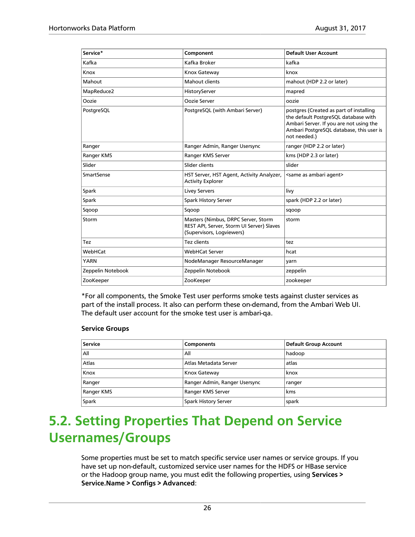| Service*          | Component                                                                                                     | <b>Default User Account</b>                                                                                                                                                            |
|-------------------|---------------------------------------------------------------------------------------------------------------|----------------------------------------------------------------------------------------------------------------------------------------------------------------------------------------|
| Kafka             | Kafka Broker                                                                                                  | kafka                                                                                                                                                                                  |
| Knox              | Knox Gateway                                                                                                  | knox                                                                                                                                                                                   |
| Mahout            | <b>Mahout clients</b>                                                                                         | mahout (HDP 2.2 or later)                                                                                                                                                              |
| MapReduce2        | HistoryServer                                                                                                 | mapred                                                                                                                                                                                 |
| Oozie             | Oozie Server                                                                                                  | oozie                                                                                                                                                                                  |
| PostgreSQL        | PostgreSQL (with Ambari Server)                                                                               | postgres (Created as part of installing<br>the default PostgreSQL database with<br>Ambari Server. If you are not using the<br>Ambari PostgreSQL database, this user is<br>not needed.) |
| Ranger            | Ranger Admin, Ranger Usersync                                                                                 | ranger (HDP 2.2 or later)                                                                                                                                                              |
| Ranger KMS        | Ranger KMS Server                                                                                             | kms (HDP 2.3 or later)                                                                                                                                                                 |
| Slider            | Slider clients                                                                                                | slider                                                                                                                                                                                 |
| SmartSense        | HST Server, HST Agent, Activity Analyzer,<br><b>Activity Explorer</b>                                         | <same agent="" ambari="" as=""></same>                                                                                                                                                 |
| Spark             | <b>Livey Servers</b>                                                                                          | livy                                                                                                                                                                                   |
| Spark             | <b>Spark History Server</b>                                                                                   | spark (HDP 2.2 or later)                                                                                                                                                               |
| Sqoop             | Sqoop                                                                                                         | sqoop                                                                                                                                                                                  |
| Storm             | Masters (Nimbus, DRPC Server, Storm<br>REST API, Server, Storm UI Server) Slaves<br>(Supervisors, Logviewers) | storm                                                                                                                                                                                  |
| Tez               | Tez clients                                                                                                   | tez                                                                                                                                                                                    |
| WebHCat           | <b>WebHCat Server</b>                                                                                         | hcat                                                                                                                                                                                   |
| <b>YARN</b>       | NodeManager ResourceManager                                                                                   | varn                                                                                                                                                                                   |
| Zeppelin Notebook | Zeppelin Notebook                                                                                             | zeppelin                                                                                                                                                                               |
| ZooKeeper         | ZooKeeper                                                                                                     | zookeeper                                                                                                                                                                              |

\*For all components, the Smoke Test user performs smoke tests against cluster services as part of the install process. It also can perform these on-demand, from the Ambari Web UI. The default user account for the smoke test user is ambari-qa.

### **Service Groups**

| Service    | <b>Components</b>             | Default Group Account |
|------------|-------------------------------|-----------------------|
| All        | All                           | hadoop                |
| Atlas      | Atlas Metadata Server         | atlas                 |
| Knox       | Knox Gateway                  | knox                  |
| Ranger     | Ranger Admin, Ranger Usersync | ranger                |
| Ranger KMS | Ranger KMS Server             | kms                   |
| Spark      | Spark History Server          | spark                 |

### <span id="page-30-0"></span>**5.2. Setting Properties That Depend on Service Usernames/Groups**

Some properties must be set to match specific service user names or service groups. If you have set up non-default, customized service user names for the HDFS or HBase service or the Hadoop group name, you must edit the following properties, using **Services > Service.Name > Configs > Advanced**: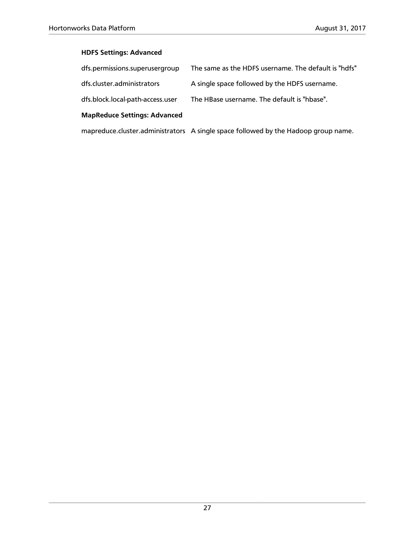### **HDFS Settings: Advanced**

| dfs.permissions.superusergroup      | The same as the HDFS username. The default is "hdfs"                               |
|-------------------------------------|------------------------------------------------------------------------------------|
| dfs.cluster.administrators          | A single space followed by the HDFS username.                                      |
| dfs.block.local-path-access.user    | The HBase username. The default is "hbase".                                        |
| <b>MapReduce Settings: Advanced</b> |                                                                                    |
|                                     | mapreduce.cluster.administrators A single space followed by the Hadoop group name. |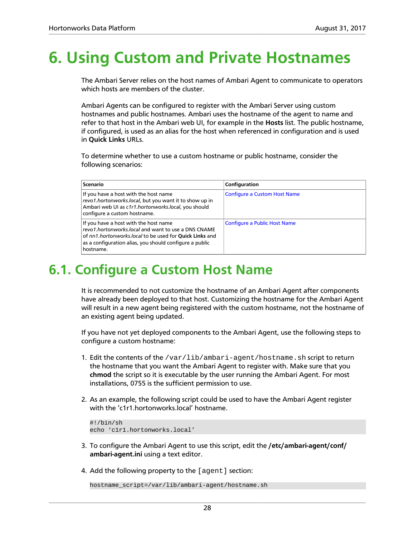# <span id="page-32-0"></span>**6. Using Custom and Private Hostnames**

The Ambari Server relies on the host names of Ambari Agent to communicate to operators which hosts are members of the cluster.

Ambari Agents can be configured to register with the Ambari Server using custom hostnames and public hostnames. Ambari uses the hostname of the agent to name and refer to that host in the Ambari web UI, for example in the **Hosts** list. The public hostname, if configured, is used as an alias for the host when referenced in configuration and is used in **Quick Links** URLs.

To determine whether to use a custom hostname or public hostname, consider the following scenarios:

| <b>Scenario</b>                                                                                                                                                                                                                 | Configuration                       |
|---------------------------------------------------------------------------------------------------------------------------------------------------------------------------------------------------------------------------------|-------------------------------------|
| If you have a host with the host name<br>revo1.hortonworks.local, but you want it to show up in<br>Ambari web UI as c1r1.hortonworks.local, you should<br>configure a custom hostname.                                          | <b>Configure a Custom Host Name</b> |
| If you have a host with the host name<br>revo1.hortonworks.local and want to use a DNS CNAME<br>of nn1.hortonworks.local to be used for Quick Links and<br>as a configuration alias, you should configure a public<br>hostname. | <b>Configure a Public Host Name</b> |

### <span id="page-32-1"></span>**6.1. Configure a Custom Host Name**

It is recommended to not customize the hostname of an Ambari Agent after components have already been deployed to that host. Customizing the hostname for the Ambari Agent will result in a new agent being registered with the custom hostname, not the hostname of an existing agent being updated.

If you have not yet deployed components to the Ambari Agent, use the following steps to configure a custom hostname:

- 1. Edit the contents of the /var/lib/ambari-agent/hostname.sh script to return the hostname that you want the Ambari Agent to register with. Make sure that you **chmod** the script so it is executable by the user running the Ambari Agent. For most installations, 0755 is the sufficient permission to use.
- 2. As an example, the following script could be used to have the Ambari Agent register with the 'c1r1.hortonworks.local' hostname.

```
#!/bin/sh
echo 'c1r1.hortonworks.local'
```
- 3. To configure the Ambari Agent to use this script, edit the **/etc/ambari-agent/conf/ ambari-agent.ini** using a text editor.
- 4. Add the following property to the [agent] section:

hostname\_script=/var/lib/ambari-agent/hostname.sh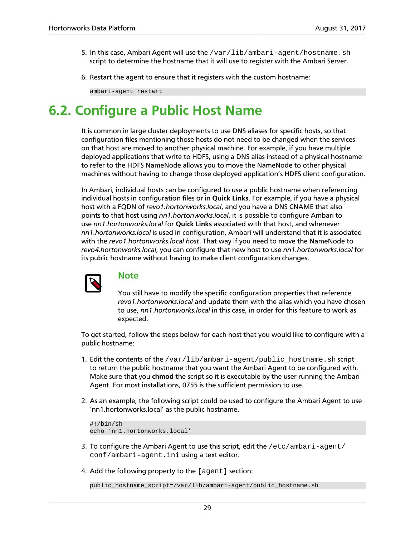- 5. In this case, Ambari Agent will use the /var/lib/ambari-agent/hostname.sh script to determine the hostname that it will use to register with the Ambari Server.
- 6. Restart the agent to ensure that it registers with the custom hostname:

ambari-agent restart

### <span id="page-33-0"></span>**6.2. Configure a Public Host Name**

It is common in large cluster deployments to use DNS aliases for specific hosts, so that configuration files mentioning those hosts do not need to be changed when the services on that host are moved to another physical machine. For example, if you have multiple deployed applications that write to HDFS, using a DNS alias instead of a physical hostname to refer to the HDFS NameNode allows you to move the NameNode to other physical machines without having to change those deployed application's HDFS client configuration.

In Ambari, individual hosts can be configured to use a public hostname when referencing individual hosts in configuration files or in **Quick Links**. For example, if you have a physical host with a FQDN of *revo1.hortonworks.local*, and you have a DNS CNAME that also points to that host using *nn1.hortonworks.local*, it is possible to configure Ambari to use *nn1.hortonworks.local* for **Quick Links** associated with that host, and whenever *nn1.hortonworks.local* is used in configuration, Ambari will understand that it is associated with the *revo1.hortonworks.local host*. That way if you need to move the NameNode to *revo4.hortonworks.local*, you can configure that new host to use *nn1.hortonworks.local* for its public hostname without having to make client configuration changes.



### **Note**

You still have to modify the specific configuration properties that reference *revo1.hortonworks.local* and update them with the alias which you have chosen to use, *nn1.hortonworks.local* in this case, in order for this feature to work as expected.

To get started, follow the steps below for each host that you would like to configure with a public hostname:

- 1. Edit the contents of the /var/lib/ambari-agent/public\_hostname.sh script to return the public hostname that you want the Ambari Agent to be configured with. Make sure that you **chmod** the script so it is executable by the user running the Ambari Agent. For most installations, 0755 is the sufficient permission to use.
- 2. As an example, the following script could be used to configure the Ambari Agent to use 'nn1.hortonworks.local' as the public hostname.

```
#!/bin/sh
echo 'nn1.hortonworks.local'
```
- 3. To configure the Ambari Agent to use this script, edit the /etc/ambari-agent/ conf/ambari-agent.ini using a text editor.
- 4. Add the following property to the [agent] section:

public\_hostname\_script=/var/lib/ambari-agent/public\_hostname.sh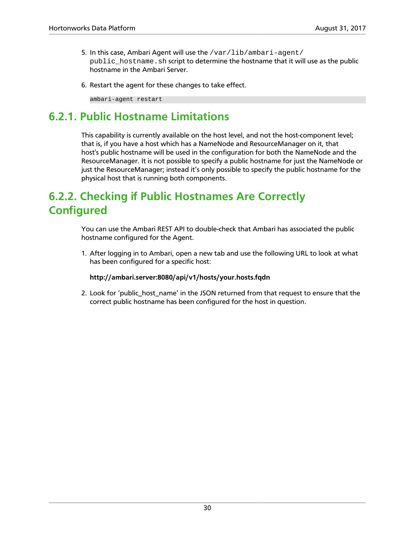- 5. In this case, Ambari Agent will use the /var/lib/ambari-agent/ public hostname.sh script to determine the hostname that it will use as the public hostname in the Ambari Server.
- 6. Restart the agent for these changes to take effect.

ambari-agent restart

### <span id="page-34-0"></span>**6.2.1. Public Hostname Limitations**

This capability is currently available on the host level, and not the host-component level; that is, if you have a host which has a NameNode and ResourceManager on it, that host's public hostname will be used in the configuration for both the NameNode and the ResourceManager. It is not possible to specify a public hostname for just the NameNode or just the ResourceManager; instead it's only possible to specify the public hostname for the physical host that is running both components.

### <span id="page-34-1"></span>**6.2.2. Checking if Public Hostnames Are Correctly Configured**

You can use the Ambari REST API to double-check that Ambari has associated the public hostname configured for the Agent.

1. After logging in to Ambari, open a new tab and use the following URL to look at what has been configured for a specific host:

### **http://ambari.server:8080/api/v1/hosts/your.hosts.fqdn**

2. Look for 'public\_host\_name' in the JSON returned from that request to ensure that the correct public hostname has been configured for the host in question.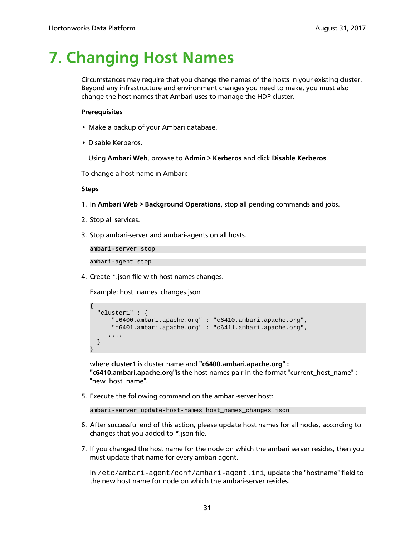# <span id="page-35-0"></span>**7. Changing Host Names**

Circumstances may require that you change the names of the hosts in your existing cluster. Beyond any infrastructure and environment changes you need to make, you must also change the host names that Ambari uses to manage the HDP cluster.

#### **Prerequisites**

- Make a backup of your Ambari database.
- Disable Kerberos.

Using **Ambari Web**, browse to **Admin** > **Kerberos** and click **Disable Kerberos**.

To change a host name in Ambari:

#### **Steps**

- 1. In **Ambari Web > Background Operations**, stop all pending commands and jobs.
- 2. Stop all services.
- 3. Stop ambari-server and ambari-agents on all hosts.

ambari-server stop

ambari-agent stop

4. Create \*.json file with host names changes.

Example: host\_names\_changes.json

```
{
   "cluster1" : {
      "c6400.ambari.apache.org" : "c6410.ambari.apache.org",
      "c6401.ambari.apache.org" : "c6411.ambari.apache.org",
 ....
 }
}
```
where **cluster1** is cluster name and **"c6400.ambari.apache.org" : "c6410.ambari.apache.org"**is the host names pair in the format "current\_host\_name" : "new\_host\_name".

5. Execute the following command on the ambari-server host:

ambari-server update-host-names host\_names\_changes.json

- 6. After successful end of this action, please update host names for all nodes, according to changes that you added to \*.json file.
- 7. If you changed the host name for the node on which the ambari server resides, then you must update that name for every ambari-agent.

In /etc/ambari-agent/conf/ambari-agent.ini, update the "hostname" field to the new host name for node on which the ambari-server resides.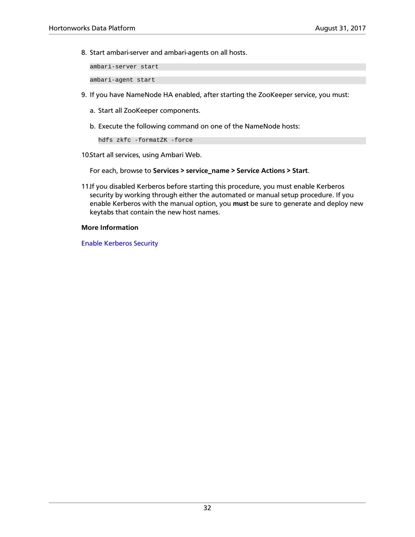8. Start ambari-server and ambari-agents on all hosts.

ambari-server start

ambari-agent start

- 9. If you have NameNode HA enabled, after starting the ZooKeeper service, you must:
	- a. Start all ZooKeeper components.
	- b. Execute the following command on one of the NameNode hosts:

hdfs zkfc -formatZK -force

10 Start all services, using Ambari Web.

For each, browse to **Services > service\_name > Service Actions > Start**.

11.If you disabled Kerberos before starting this procedure, you must enable Kerberos security by working through either the automated or manual setup procedure. If you enable Kerberos with the manual option, you **must** be sure to generate and deploy new keytabs that contain the new host names.

#### **More Information**

[Enable Kerberos Security](https://docs.hortonworks.com/HDPDocuments/Ambari-2.5.2.0/bk_ambari-security/content/enabling_kerberos_security_in_ambari.html)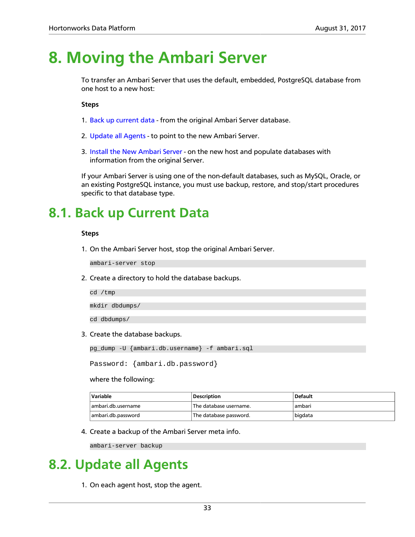# **8. Moving the Ambari Server**

To transfer an Ambari Server that uses the default, embedded, PostgreSQL database from one host to a new host:

**Steps**

- 1. [Back up current data](#page-37-0) from the original Ambari Server database.
- 2. [Update all Agents](#page-37-1)  to point to the new Ambari Server.
- 3. [Install the New Ambari Server](#page-38-0)  on the new host and populate databases with information from the original Server.

If your Ambari Server is using one of the non-default databases, such as MySQL, Oracle, or an existing PostgreSQL instance, you must use backup, restore, and stop/start procedures specific to that database type.

## <span id="page-37-0"></span>**8.1. Back up Current Data**

#### **Steps**

1. On the Ambari Server host, stop the original Ambari Server.

ambari-server stop

2. Create a directory to hold the database backups.

cd /tmp

mkdir dbdumps/

cd dbdumps/

3. Create the database backups.

pg\_dump -U {ambari.db.username} -f ambari.sql

Password: {ambari.db.password}

#### where the following:

| Variable           | <b>Description</b>     | <b>Default</b> |
|--------------------|------------------------|----------------|
| ambari.db.username | The database username. | ambari         |
| ambari.db.password | The database password. | bigdata        |

4. Create a backup of the Ambari Server meta info.

ambari-server backup

## <span id="page-37-1"></span>**8.2. Update all Agents**

1. On each agent host, stop the agent.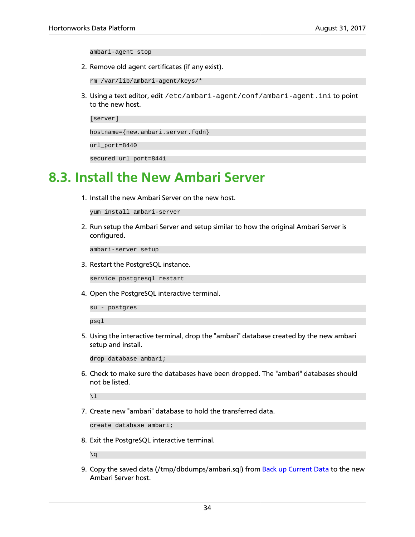ambari-agent stop

2. Remove old agent certificates (if any exist).

rm /var/lib/ambari-agent/keys/\*

3. Using a text editor, edit /etc/ambari-agent/conf/ambari-agent.ini to point to the new host.

[server]

hostname={new.ambari.server.fqdn}

url\_port=8440

secured\_url\_port=8441

## <span id="page-38-0"></span>**8.3. Install the New Ambari Server**

1. Install the new Ambari Server on the new host.

yum install ambari-server

2. Run setup the Ambari Server and setup similar to how the original Ambari Server is configured.

ambari-server setup

3. Restart the PostgreSQL instance.

service postgresql restart

4. Open the PostgreSQL interactive terminal.

su - postgres

psql

5. Using the interactive terminal, drop the "ambari" database created by the new ambari setup and install.

drop database ambari;

6. Check to make sure the databases have been dropped. The "ambari" databases should not be listed.

 $\setminus$ l

7. Create new "ambari" database to hold the transferred data.

create database ambari;

8. Exit the PostgreSQL interactive terminal.

 $\qquad q$ 

9. Copy the saved data (/tmp/dbdumps/ambari.sql) from [Back up Current Data](#page-37-0) to the new Ambari Server host.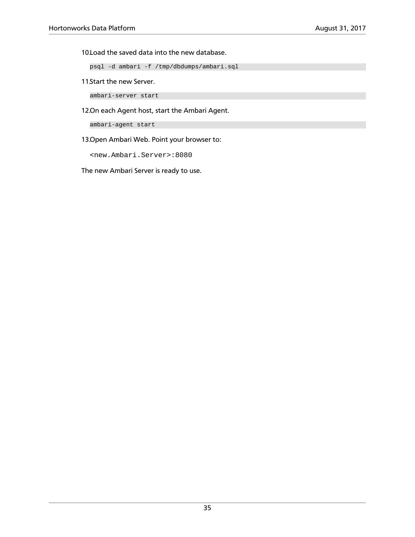10Load the saved data into the new database.

psql -d ambari -f /tmp/dbdumps/ambari.sql

11 Start the new Server.

ambari-server start

12.On each Agent host, start the Ambari Agent.

ambari-agent start

13.Open Ambari Web. Point your browser to:

<new.Ambari.Server>:8080

The new Ambari Server is ready to use.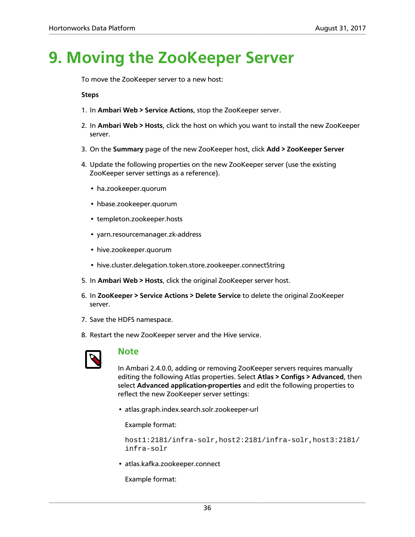# **9. Moving the ZooKeeper Server**

To move the ZooKeeper server to a new host:

#### **Steps**

- 1. In **Ambari Web > Service Actions**, stop the ZooKeeper server.
- 2. In **Ambari Web > Hosts**, click the host on which you want to install the new ZooKeeper server.
- 3. On the **Summary** page of the new ZooKeeper host, click **Add > ZooKeeper Server**
- 4. Update the following properties on the new ZooKeeper server (use the existing ZooKeeper server settings as a reference).
	- ha.zookeeper.quorum
	- hbase.zookeeper.quorum
	- templeton.zookeeper.hosts
	- yarn.resourcemanager.zk-address
	- hive.zookeeper.quorum
	- hive.cluster.delegation.token.store.zookeeper.connectString
- 5. In **Ambari Web > Hosts**, click the original ZooKeeper server host.
- 6. In **ZooKeeper > Service Actions > Delete Service** to delete the original ZooKeeper server.
- 7. Save the HDFS namespace.
- 8. Restart the new ZooKeeper server and the Hive service.



#### **Note**

In Ambari 2.4.0.0, adding or removing ZooKeeper servers requires manually editing the following Atlas properties. Select **Atlas > Configs > Advanced**, then select **Advanced application-properties** and edit the following properties to reflect the new ZooKeeper server settings:

• atlas.graph.index.search.solr.zookeeper-url

Example format:

host1:2181/infra-solr,host2:2181/infra-solr,host3:2181/ infra-solr

• atlas.kafka.zookeeper.connect

Example format: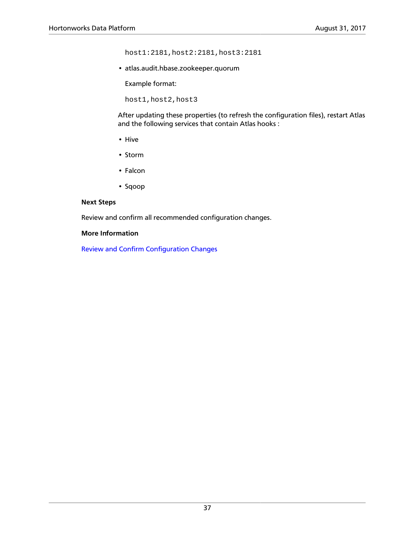host1:2181,host2:2181,host3:2181

• atlas.audit.hbase.zookeeper.quorum

Example format:

host1,host2,host3

After updating these properties (to refresh the configuration files), restart Atlas and the following services that contain Atlas hooks :

- Hive
- Storm
- Falcon
- Sqoop

#### **Next Steps**

Review and confirm all recommended configuration changes.

#### **More Information**

[Review and Confirm Configuration Changes](https://docs.hortonworks.com/HDPDocuments/Ambari-2.5.2.0/bk_ambari-operations/content/review_and_confirm_config_changes.html)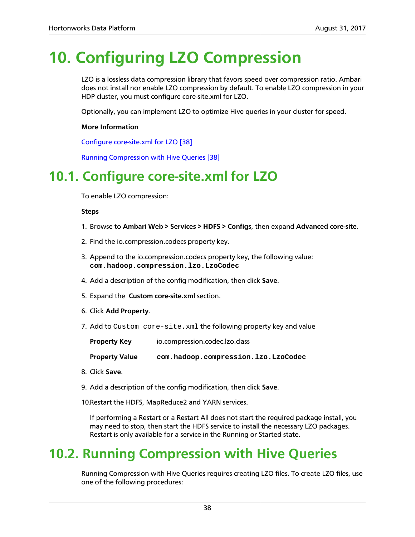# **10. Configuring LZO Compression**

LZO is a lossless data compression library that favors speed over compression ratio. Ambari does not install nor enable LZO compression by default. To enable LZO compression in your HDP cluster, you must configure core-site.xml for LZO.

Optionally, you can implement LZO to optimize Hive queries in your cluster for speed.

#### **More Information**

[Configure core-site.xml for LZO \[38\]](#page-42-0)

[Running Compression with Hive Queries \[38\]](#page-42-1)

## <span id="page-42-0"></span>**10.1. Configure core-site.xml for LZO**

To enable LZO compression:

#### **Steps**

- 1. Browse to **Ambari Web > Services > HDFS > Configs**, then expand **Advanced core-site**.
- 2. Find the io.compression.codecs property key.
- 3. Append to the io.compression.codecs property key, the following value: **com.hadoop.compression.lzo.LzoCodec**
- 4. Add a description of the config modification, then click **Save**.
- 5. Expand the **Custom core-site.xml** section.
- 6. Click **Add Property**.
- 7. Add to Custom core-site.xml the following property key and value

**Property Key** io.compression.codec.lzo.class

**Property Value com.hadoop.compression.lzo.LzoCodec**

- 8. Click **Save**.
- 9. Add a description of the config modification, then click **Save**.

10.Restart the HDFS, MapReduce2 and YARN services.

If performing a Restart or a Restart All does not start the required package install, you may need to stop, then start the HDFS service to install the necessary LZO packages. Restart is only available for a service in the Running or Started state.

## <span id="page-42-1"></span>**10.2. Running Compression with Hive Queries**

Running Compression with Hive Queries requires creating LZO files. To create LZO files, use one of the following procedures: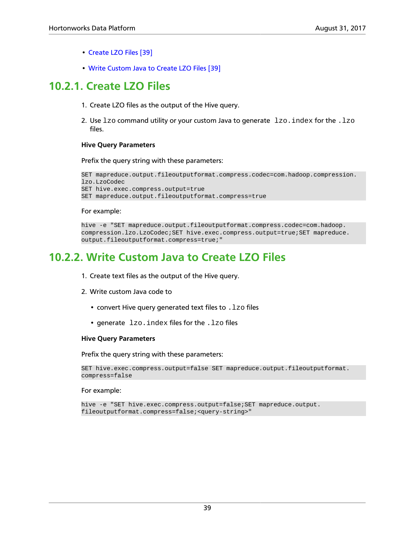- [Create LZO Files \[39\]](#page-43-0)
- [Write Custom Java to Create LZO Files \[39\]](#page-43-1)

## <span id="page-43-0"></span>**10.2.1. Create LZO Files**

- 1. Create LZO files as the output of the Hive query.
- 2. Use  $1z$ o command utility or your custom Java to generate  $1z$ o. index for the . $1z$ o files.

#### **Hive Query Parameters**

Prefix the query string with these parameters:

```
SET mapreduce.output.fileoutputformat.compress.codec=com.hadoop.compression.
lzo.LzoCodec
SET hive.exec.compress.output=true
SET mapreduce.output.fileoutputformat.compress=true
```
#### For example:

```
hive -e "SET mapreduce.output.fileoutputformat.compress.codec=com.hadoop.
compression.lzo.LzoCodec;SET hive.exec.compress.output=true;SET mapreduce.
output.fileoutputformat.compress=true;"
```
## <span id="page-43-1"></span>**10.2.2. Write Custom Java to Create LZO Files**

- 1. Create text files as the output of the Hive query.
- 2. Write custom Java code to
	- convert Hive query generated text files to  $.1z$ o files
	- generate lzo. index files for the . lzo files

#### **Hive Query Parameters**

Prefix the query string with these parameters:

```
SET hive.exec.compress.output=false SET mapreduce.output.fileoutputformat.
compress=false
```
For example:

```
hive -e "SET hive.exec.compress.output=false;SET mapreduce.output.
fileoutputformat.compress=false;<query-string>"
```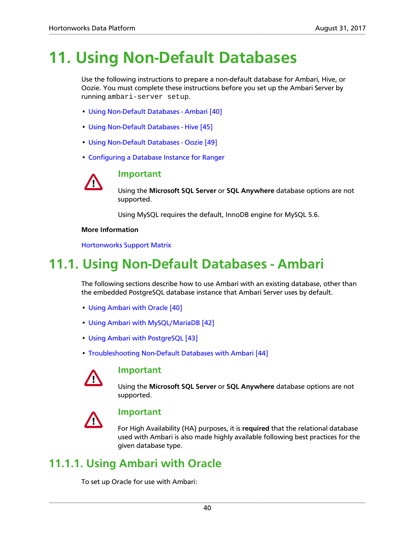# **11. Using Non-Default Databases**

Use the following instructions to prepare a non-default database for Ambari, Hive, or Oozie. You must complete these instructions before you set up the Ambari Server by running ambari-server setup.

- [Using Non-Default Databases Ambari \[40\]](#page-44-0)
- [Using Non-Default Databases Hive \[45\]](#page-49-0)
- [Using Non-Default Databases Oozie \[49\]](#page-53-0)
- [Configuring a Database Instance for Ranger](https://docs.hortonworks.com/HDPDocuments/HDP2/HDP-2.6.2/bk_security/content/configuring_database_instance.html)



#### **Important**

Using the **Microsoft SQL Server** or **SQL Anywhere** database options are not supported.

Using MySQL requires the default, InnoDB engine for MySQL 5.6.

#### **More Information**

[Hortonworks Support Matrix](https://supportmatrix.hortonworks.com/)

## <span id="page-44-0"></span>**11.1. Using Non-Default Databases - Ambari**

The following sections describe how to use Ambari with an existing database, other than the embedded PostgreSQL database instance that Ambari Server uses by default.

- [Using Ambari with Oracle \[40\]](#page-44-1)
- [Using Ambari with MySQL/MariaDB \[42\]](#page-46-0)
- [Using Ambari with PostgreSQL \[43\]](#page-47-0)
- [Troubleshooting Non-Default Databases with Ambari \[44\]](#page-48-0)



#### **Important**

Using the **Microsoft SQL Server** or **SQL Anywhere** database options are not supported.



#### **Important**

For High Availability (HA) purposes, it is **required** that the relational database used with Ambari is also made highly available following best practices for the given database type.

### <span id="page-44-1"></span>**11.1.1. Using Ambari with Oracle**

To set up Oracle for use with Ambari: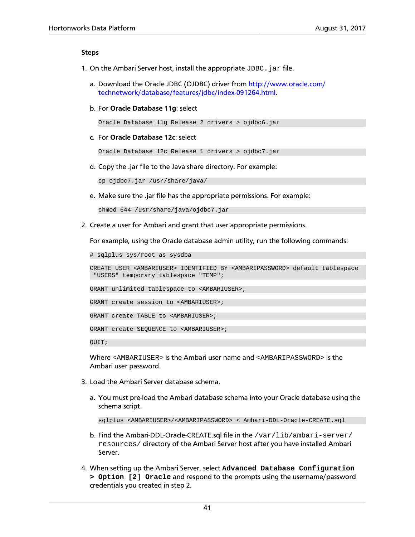#### **Steps**

- 1. On the Ambari Server host, install the appropriate  $JDBC$ . jar file.
	- a. Download the Oracle JDBC (OJDBC) driver from [http://www.oracle.com/](http://www.oracle.com/technetwork/database/features/jdbc/index-091264.html) [technetwork/database/features/jdbc/index-091264.html.](http://www.oracle.com/technetwork/database/features/jdbc/index-091264.html)
	- b. For **Oracle Database 11g**: select

Oracle Database 11g Release 2 drivers > ojdbc6.jar

c. For **Oracle Database 12c**: select

Oracle Database 12c Release 1 drivers > ojdbc7.jar

d. Copy the .jar file to the Java share directory. For example:

cp ojdbc7.jar /usr/share/java/

e. Make sure the .jar file has the appropriate permissions. For example:

chmod 644 /usr/share/java/ojdbc7.jar

2. Create a user for Ambari and grant that user appropriate permissions.

For example, using the Oracle database admin utility, run the following commands:

# sqlplus sys/root as sysdba

CREATE USER <AMBARIUSER> IDENTIFIED BY <AMBARIPASSWORD> default tablespace "USERS" temporary tablespace "TEMP";

GRANT unlimited tablespace to <AMBARIUSER>;

GRANT create session to <AMBARIUSER>;

GRANT create TABLE to <AMBARIUSER>;

GRANT create SEQUENCE to <AMBARIUSER>;

QUIT;

Where <AMBARIUSER> is the Ambari user name and <AMBARIPASSWORD> is the Ambari user password.

- 3. Load the Ambari Server database schema.
	- a. You must pre-load the Ambari database schema into your Oracle database using the schema script.

sqlplus <AMBARIUSER>/<AMBARIPASSWORD> < Ambari-DDL-Oracle-CREATE.sql

- b. Find the Ambari-DDL-Oracle-CREATE.sql file in the /var/lib/ambari-server/ resources/ directory of the Ambari Server host after you have installed Ambari Server.
- 4. When setting up the Ambari Server, select **Advanced Database Configuration > Option [2] Oracle** and respond to the prompts using the username/password credentials you created in step 2.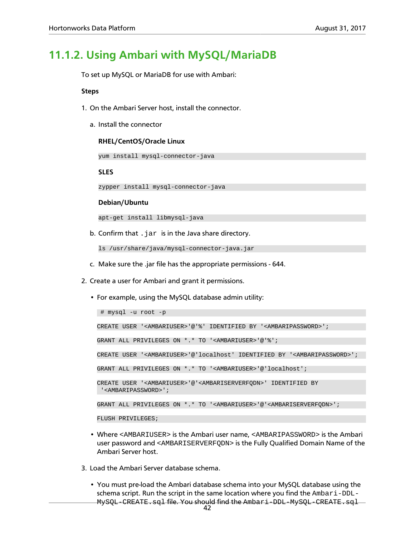## <span id="page-46-0"></span>**11.1.2. Using Ambari with MySQL/MariaDB**

To set up MySQL or MariaDB for use with Ambari:

#### **Steps**

- 1. On the Ambari Server host, install the connector.
	- a. Install the connector

#### **RHEL/CentOS/Oracle Linux**

yum install mysql-connector-java

#### **SLES**

zypper install mysql-connector-java

#### **Debian/Ubuntu**

apt-get install libmysql-java

b. Confirm that  $\log x$  is in the Java share directory.

ls /usr/share/java/mysql-connector-java.jar

- c. Make sure the .jar file has the appropriate permissions 644.
- 2. Create a user for Ambari and grant it permissions.
	- For example, using the MySQL database admin utility:

```
 # mysql -u root -p 
CREATE USER '<AMBARIUSER>'@'%' IDENTIFIED BY '<AMBARIPASSWORD>';
GRANT ALL PRIVILEGES ON *.* TO '<AMBARIUSER>'@'%';
CREATE USER '<AMBARIUSER>'@'localhost' IDENTIFIED BY '<AMBARIPASSWORD>';
GRANT ALL PRIVILEGES ON *.* TO '<AMBARIUSER>'@'localhost';
CREATE USER '<AMBARIUSER>'@'<AMBARISERVERFQDN>' IDENTIFIED BY
  '<AMBARIPASSWORD>';
GRANT ALL PRIVILEGES ON *.* TO '<AMBARIUSER>'@'<AMBARISERVERFQDN>';
FLUSH PRIVILEGES;
```
- Where <AMBARIUSER> is the Ambari user name, <AMBARIPASSWORD> is the Ambari user password and <AMBARISERVERFQDN> is the Fully Qualified Domain Name of the Ambari Server host.
- 3. Load the Ambari Server database schema.
	- You must pre-load the Ambari database schema into your MySQL database using the schema script. Run the script in the same location where you find the Ambari-DDL-MySQL-CREATE.sql file. You should find the Ambari-DDL-MySQL-CREATE.sql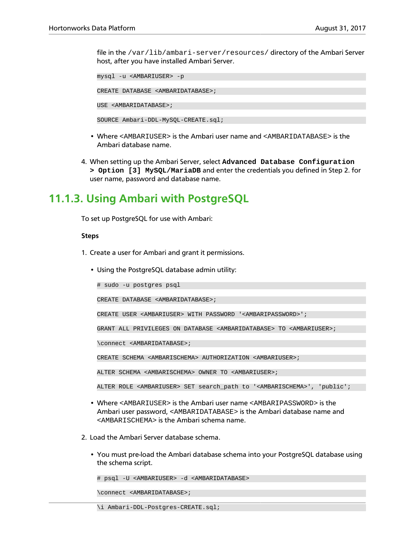file in the /var/lib/ambari-server/resources/ directory of the Ambari Server host, after you have installed Ambari Server.

mysql -u <AMBARIUSER> -p

CREATE DATABASE <AMBARIDATABASE>;

USE <AMBARIDATABASE>;

SOURCE Ambari-DDL-MySQL-CREATE.sql;

- Where <AMBARIUSER> is the Ambari user name and <AMBARIDATABASE> is the Ambari database name.
- 4. When setting up the Ambari Server, select **Advanced Database Configuration > Option [3] MySQL/MariaDB** and enter the credentials you defined in Step 2. for user name, password and database name.

## <span id="page-47-0"></span>**11.1.3. Using Ambari with PostgreSQL**

To set up PostgreSQL for use with Ambari:

#### **Steps**

- 1. Create a user for Ambari and grant it permissions.
	- Using the PostgreSQL database admin utility:

# sudo -u postgres psql

CREATE DATABASE <AMBARIDATABASE>;

CREATE USER <AMBARIUSER> WITH PASSWORD '<AMBARIPASSWORD>';

GRANT ALL PRIVILEGES ON DATABASE <AMBARIDATABASE> TO <AMBARIUSER>;

\connect <AMBARIDATABASE>;

CREATE SCHEMA <AMBARISCHEMA> AUTHORIZATION <AMBARIUSER>;

ALTER SCHEMA <AMBARISCHEMA> OWNER TO <AMBARIUSER>;

ALTER ROLE <AMBARIUSER> SET search\_path to '<AMBARISCHEMA>', 'public';

- Where <AMBARIUSER> is the Ambari user name <AMBARIPASSWORD> is the Ambari user password, <AMBARIDATABASE> is the Ambari database name and <AMBARISCHEMA> is the Ambari schema name.
- 2. Load the Ambari Server database schema.
	- You must pre-load the Ambari database schema into your PostgreSQL database using the schema script.

```
# psql -U <AMBARIUSER> -d <AMBARIDATABASE>
```
\connect <AMBARIDATABASE>;

43 \i Ambari-DDL-Postgres-CREATE.sql;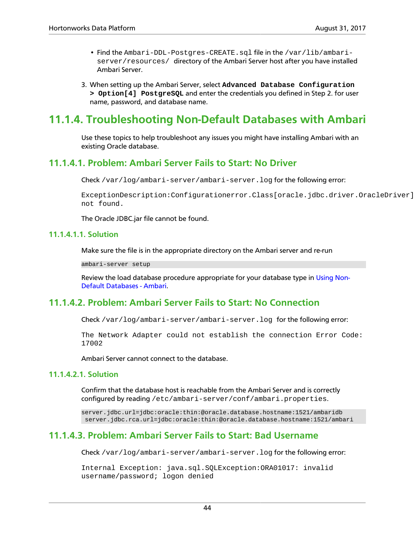- Find the Ambari-DDL-Postgres-CREATE.sql file in the /var/lib/ambariserver/resources/ directory of the Ambari Server host after you have installed Ambari Server.
- 3. When setting up the Ambari Server, select **Advanced Database Configuration > Option[4] PostgreSQL** and enter the credentials you defined in Step 2. for user name, password, and database name.

## <span id="page-48-0"></span>**11.1.4. Troubleshooting Non-Default Databases with Ambari**

Use these topics to help troubleshoot any issues you might have installing Ambari with an existing Oracle database.

### **11.1.4.1. Problem: Ambari Server Fails to Start: No Driver**

Check /var/log/ambari-server/ambari-server.log for the following error:

ExceptionDescription:Configurationerror.Class[oracle.jdbc.driver.OracleDriver] not found.

The Oracle JDBC.jar file cannot be found.

#### **11.1.4.1.1. Solution**

Make sure the file is in the appropriate directory on the Ambari server and re-run

ambari-server setup

Review the load database procedure appropriate for your database type in [Using Non-](#page-44-0)[Default Databases - Ambari.](#page-44-0)

### **11.1.4.2. Problem: Ambari Server Fails to Start: No Connection**

Check /var/log/ambari-server/ambari-server.log for the following error:

The Network Adapter could not establish the connection Error Code: 17002

Ambari Server cannot connect to the database.

#### **11.1.4.2.1. Solution**

Confirm that the database host is reachable from the Ambari Server and is correctly configured by reading /etc/ambari-server/conf/ambari.properties.

server.jdbc.url=jdbc:oracle:thin:@oracle.database.hostname:1521/ambaridb server.jdbc.rca.url=jdbc:oracle:thin:@oracle.database.hostname:1521/ambari

### **11.1.4.3. Problem: Ambari Server Fails to Start: Bad Username**

Check /var/log/ambari-server/ambari-server.log for the following error:

Internal Exception: java.sql.SQLException:ORA01017: invalid username/password; logon denied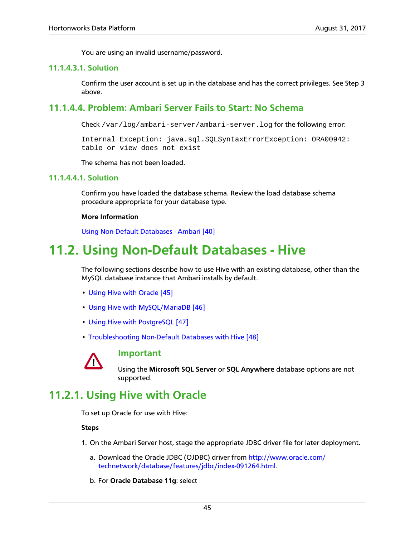You are using an invalid username/password.

#### **11.1.4.3.1. Solution**

Confirm the user account is set up in the database and has the correct privileges. See Step 3 above.

### **11.1.4.4. Problem: Ambari Server Fails to Start: No Schema**

Check /var/log/ambari-server/ambari-server.log for the following error:

Internal Exception: java.sql.SQLSyntaxErrorException: ORA00942: table or view does not exist

The schema has not been loaded.

#### **11.1.4.4.1. Solution**

Confirm you have loaded the database schema. Review the load database schema procedure appropriate for your database type.

#### **More Information**

[Using Non-Default Databases - Ambari \[40\]](#page-44-0)

## <span id="page-49-0"></span>**11.2. Using Non-Default Databases - Hive**

The following sections describe how to use Hive with an existing database, other than the MySQL database instance that Ambari installs by default.

- [Using Hive with Oracle \[45\]](#page-49-1)
- [Using Hive with MySQL/MariaDB \[46\]](#page-50-0)
- [Using Hive with PostgreSQL \[47\]](#page-51-0)
- [Troubleshooting Non-Default Databases with Hive \[48\]](#page-52-0)



#### **Important**

Using the **Microsoft SQL Server** or **SQL Anywhere** database options are not supported.

## <span id="page-49-1"></span>**11.2.1. Using Hive with Oracle**

To set up Oracle for use with Hive:

#### **Steps**

- 1. On the Ambari Server host, stage the appropriate JDBC driver file for later deployment.
	- a. Download the Oracle JDBC (OJDBC) driver from [http://www.oracle.com/](http://www.oracle.com/technetwork/database/features/jdbc/index-091264.html) [technetwork/database/features/jdbc/index-091264.html.](http://www.oracle.com/technetwork/database/features/jdbc/index-091264.html)
	- b. For **Oracle Database 11g**: select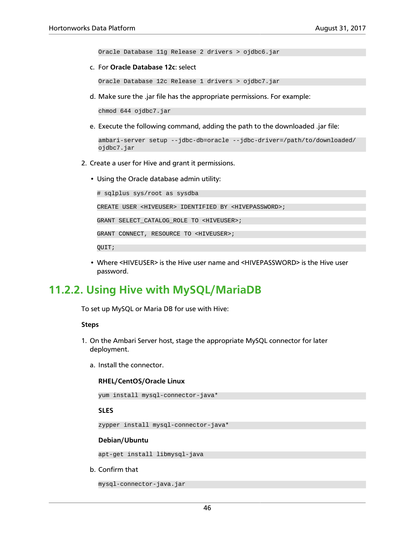Oracle Database 11g Release 2 drivers > ojdbc6.jar

c. For **Oracle Database 12c**: select

Oracle Database 12c Release 1 drivers > ojdbc7.jar

d. Make sure the .jar file has the appropriate permissions. For example:

chmod 644 ojdbc7.jar

e. Execute the following command, adding the path to the downloaded .jar file:

```
ambari-server setup --jdbc-db=oracle --jdbc-driver=/path/to/downloaded/
ojdbc7.jar
```
- 2. Create a user for Hive and grant it permissions.
	- Using the Oracle database admin utility:

# sqlplus sys/root as sysdba CREATE USER <HIVEUSER> IDENTIFIED BY <HIVEPASSWORD>; GRANT SELECT\_CATALOG\_ROLE TO <HIVEUSER>; GRANT CONNECT, RESOURCE TO <HIVEUSER>; QUIT;

• Where <HIVEUSER> is the Hive user name and <HIVEPASSWORD> is the Hive user password.

### <span id="page-50-0"></span>**11.2.2. Using Hive with MySQL/MariaDB**

To set up MySQL or Maria DB for use with Hive:

#### **Steps**

- 1. On the Ambari Server host, stage the appropriate MySQL connector for later deployment.
	- a. Install the connector.

#### **RHEL/CentOS/Oracle Linux**

```
yum install mysql-connector-java*
```
#### **SLES**

zypper install mysql-connector-java\*

#### **Debian/Ubuntu**

apt-get install libmysql-java

b. Confirm that

```
mysql-connector-java.jar
```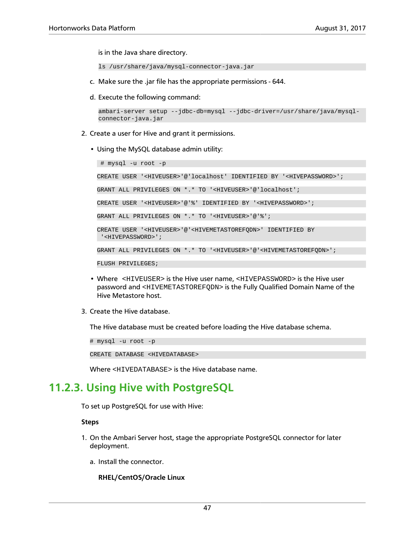is in the Java share directory.

ls /usr/share/java/mysql-connector-java.jar

- c. Make sure the .jar file has the appropriate permissions 644.
- d. Execute the following command:

```
ambari-server setup --jdbc-db=mysql --jdbc-driver=/usr/share/java/mysql-
connector-java.jar
```
- 2. Create a user for Hive and grant it permissions.
	- Using the MySQL database admin utility:

 # mysql -u root -p CREATE USER '<HIVEUSER>'@'localhost' IDENTIFIED BY '<HIVEPASSWORD>'; GRANT ALL PRIVILEGES ON \*.\* TO '<HIVEUSER>'@'localhost'; CREATE USER '<HIVEUSER>'@'%' IDENTIFIED BY '<HIVEPASSWORD>'; GRANT ALL PRIVILEGES ON \*.\* TO '<HIVEUSER>'@'%'; CREATE USER '<HIVEUSER>'@'<HIVEMETASTOREFQDN>' IDENTIFIED BY '<HIVEPASSWORD>'; GRANT ALL PRIVILEGES ON \*.\* TO '<HIVEUSER>'@'<HIVEMETASTOREFQDN>'; FLUSH PRIVILEGES;

- Where <HIVEUSER> is the Hive user name, <HIVEPASSWORD> is the Hive user password and <HIVEMETASTOREFQDN> is the Fully Qualified Domain Name of the Hive Metastore host.
- 3. Create the Hive database.

The Hive database must be created before loading the Hive database schema.

# mysql -u root -p

CREATE DATABASE <HIVEDATABASE>

Where <HIVEDATABASE> is the Hive database name.

## <span id="page-51-0"></span>**11.2.3. Using Hive with PostgreSQL**

To set up PostgreSQL for use with Hive:

#### **Steps**

- 1. On the Ambari Server host, stage the appropriate PostgreSQL connector for later deployment.
	- a. Install the connector.

#### **RHEL/CentOS/Oracle Linux**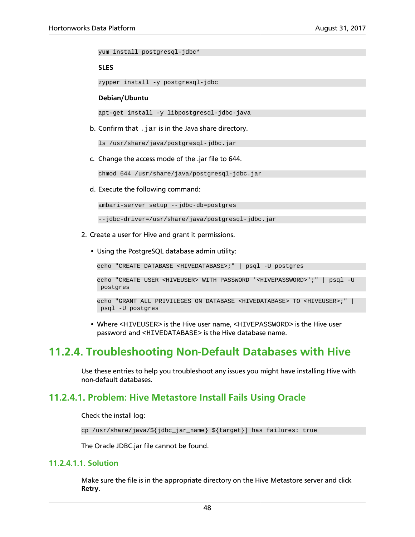yum install postgresql-jdbc\*

#### **SLES**

zypper install -y postgresql-jdbc

#### **Debian/Ubuntu**

apt-get install -y libpostgresql-jdbc-java

b. Confirm that  $\ldots$  jar is in the Java share directory.

ls /usr/share/java/postgresql-jdbc.jar

c. Change the access mode of the .jar file to 644.

chmod 644 /usr/share/java/postgresql-jdbc.jar

d. Execute the following command:

ambari-server setup --jdbc-db=postgres

--jdbc-driver=/usr/share/java/postgresql-jdbc.jar

- 2. Create a user for Hive and grant it permissions.
	- Using the PostgreSQL database admin utility:

echo "CREATE DATABASE <HIVEDATABASE>;" | psql -U postgres

```
echo "CREATE USER <HIVEUSER> WITH PASSWORD '<HIVEPASSWORD>';" | psql -U
 postgres
```

```
echo "GRANT ALL PRIVILEGES ON DATABASE <HIVEDATABASE> TO <HIVEUSER>;" |
 psql -U postgres
```
• Where <HIVEUSER> is the Hive user name, <HIVEPASSWORD> is the Hive user password and <HIVEDATABASE> is the Hive database name.

### <span id="page-52-0"></span>**11.2.4. Troubleshooting Non-Default Databases with Hive**

Use these entries to help you troubleshoot any issues you might have installing Hive with non-default databases.

### **11.2.4.1. Problem: Hive Metastore Install Fails Using Oracle**

Check the install log:

```
cp /usr/share/java/${jdbc_jar_name} ${target}] has failures: true
```
The Oracle JDBC.jar file cannot be found.

#### **11.2.4.1.1. Solution**

Make sure the file is in the appropriate directory on the Hive Metastore server and click **Retry**.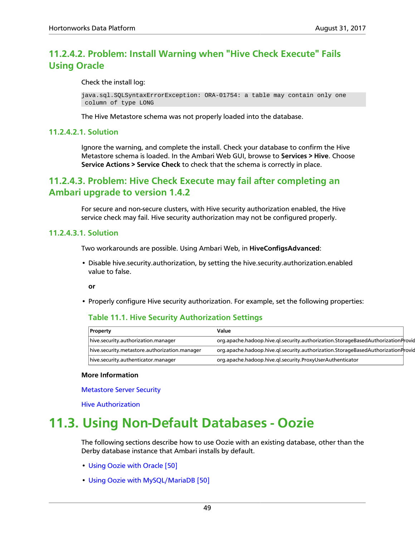### **11.2.4.2. Problem: Install Warning when "Hive Check Execute" Fails Using Oracle**

Check the install log:

```
java.sql.SQLSyntaxErrorException: ORA-01754: a table may contain only one
 column of type LONG
```
The Hive Metastore schema was not properly loaded into the database.

#### **11.2.4.2.1. Solution**

Ignore the warning, and complete the install. Check your database to confirm the Hive Metastore schema is loaded. In the Ambari Web GUI, browse to **Services > Hive**. Choose **Service Actions > Service Check** to check that the schema is correctly in place.

### **11.2.4.3. Problem: Hive Check Execute may fail after completing an Ambari upgrade to version 1.4.2**

For secure and non-secure clusters, with Hive security authorization enabled, the Hive service check may fail. Hive security authorization may not be configured properly.

#### **11.2.4.3.1. Solution**

Two workarounds are possible. Using Ambari Web, in **HiveConfigsAdvanced**:

• Disable hive.security.authorization, by setting the hive.security.authorization.enabled value to false.

**or**

• Properly configure Hive security authorization. For example, set the following properties:

#### **Table 11.1. Hive Security Authorization Settings**

| <b>Property</b>                               | Value                                                                            |  |
|-----------------------------------------------|----------------------------------------------------------------------------------|--|
| hive.security.authorization.manager           | org.apache.hadoop.hive.gl.security.authorization.StorageBasedAuthorizationProvic |  |
| hive.security.metastore.authorization.manager | org.apache.hadoop.hive.gl.security.authorization.StorageBasedAuthorizationProvic |  |
| hive.security.authenticator.manager           | org.apache.hadoop.hive.gl.security.ProxyUserAuthenticator                        |  |

#### **More Information**

[Metastore Server Security](https://cwiki.apache.org/confluence/display/Hive/LanguageManual+Authorization#LanguageManualAuthorization-MetastoreServerSecurity)

[Hive Authorization](https://cwiki.apache.org/confluence/display/Hive/LanguageManual+Authorization)

## <span id="page-53-0"></span>**11.3. Using Non-Default Databases - Oozie**

The following sections describe how to use Oozie with an existing database, other than the Derby database instance that Ambari installs by default.

- [Using Oozie with Oracle \[50\]](#page-54-0)
- [Using Oozie with MySQL/MariaDB \[50\]](#page-54-1)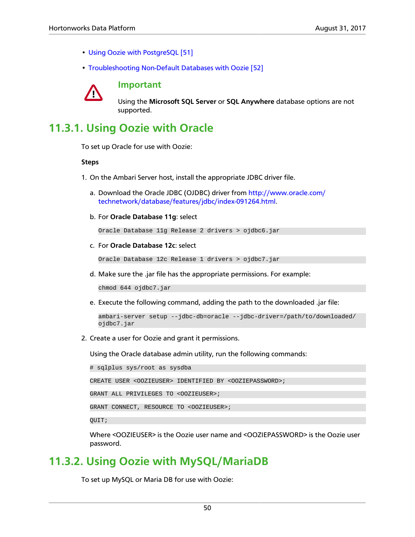- [Using Oozie with PostgreSQL \[51\]](#page-55-0)
- [Troubleshooting Non-Default Databases with Oozie \[52\]](#page-56-0)



**Important**

Using the **Microsoft SQL Server** or **SQL Anywhere** database options are not supported.

## <span id="page-54-0"></span>**11.3.1. Using Oozie with Oracle**

To set up Oracle for use with Oozie:

#### **Steps**

- 1. On the Ambari Server host, install the appropriate JDBC driver file.
	- a. Download the Oracle JDBC (OJDBC) driver from [http://www.oracle.com/](http://www.oracle.com/technetwork/database/features/jdbc/index-091264.html) [technetwork/database/features/jdbc/index-091264.html.](http://www.oracle.com/technetwork/database/features/jdbc/index-091264.html)
	- b. For **Oracle Database 11g**: select

Oracle Database 11g Release 2 drivers > ojdbc6.jar

c. For **Oracle Database 12c**: select

Oracle Database 12c Release 1 drivers > ojdbc7.jar

d. Make sure the .jar file has the appropriate permissions. For example:

chmod 644 ojdbc7.jar

e. Execute the following command, adding the path to the downloaded .jar file:

```
ambari-server setup --jdbc-db=oracle --jdbc-driver=/path/to/downloaded/
ojdbc7.jar
```
2. Create a user for Oozie and grant it permissions.

Using the Oracle database admin utility, run the following commands:

# sqlplus sys/root as sysdba

CREATE USER <OOZIEUSER> IDENTIFIED BY <OOZIEPASSWORD>;

GRANT ALL PRIVILEGES TO <OOZIEUSER>;

GRANT CONNECT, RESOURCE TO <OOZIEUSER>;

QUIT;

Where <OOZIEUSER> is the Oozie user name and <OOZIEPASSWORD> is the Oozie user password.

## <span id="page-54-1"></span>**11.3.2. Using Oozie with MySQL/MariaDB**

To set up MySQL or Maria DB for use with Oozie: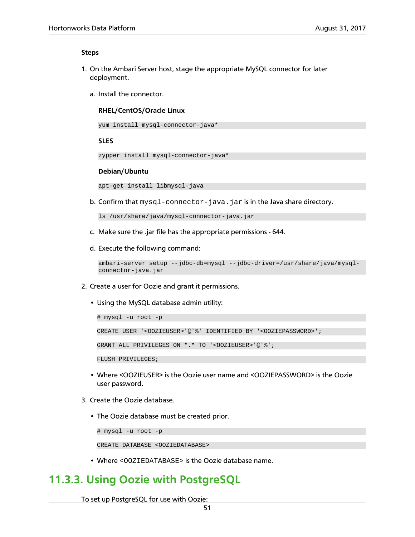#### **Steps**

- 1. On the Ambari Server host, stage the appropriate MySQL connector for later deployment.
	- a. Install the connector.

#### **RHEL/CentOS/Oracle Linux**

yum install mysql-connector-java\*

#### **SLES**

zypper install mysql-connector-java\*

#### **Debian/Ubuntu**

```
apt-get install libmysql-java
```
b. Confirm that  $mysql-convector-java$ . jar is in the Java share directory.

```
ls /usr/share/java/mysql-connector-java.jar
```
- c. Make sure the .jar file has the appropriate permissions 644.
- d. Execute the following command:

```
ambari-server setup --jdbc-db=mysql --jdbc-driver=/usr/share/java/mysql-
connector-java.jar
```
- 2. Create a user for Oozie and grant it permissions.
	- Using the MySQL database admin utility:

```
# mysql -u root -p
CREATE USER '<OOZIEUSER>'@'%' IDENTIFIED BY '<OOZIEPASSWORD>';
GRANT ALL PRIVILEGES ON *.* TO '<OOZIEUSER>'@'%';
FLUSH PRIVILEGES;
```
- Where <OOZIEUSER> is the Oozie user name and <OOZIEPASSWORD> is the Oozie user password.
- 3. Create the Oozie database.
	- The Oozie database must be created prior.

```
# mysql -u root -p
```

```
CREATE DATABASE <OOZIEDATABASE>
```
• Where <OOZIEDATABASE> is the Oozie database name.

## <span id="page-55-0"></span>**11.3.3. Using Oozie with PostgreSQL**

To set up PostgreSQL for use with Oozie: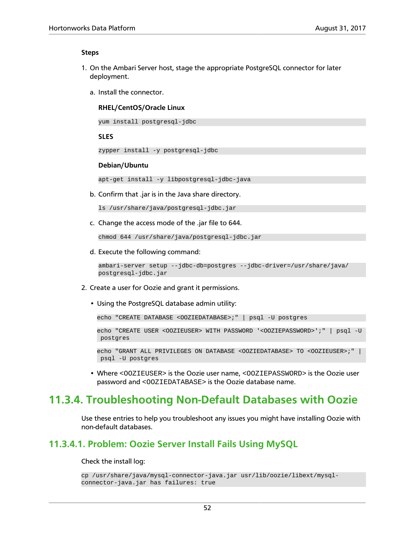#### **Steps**

- 1. On the Ambari Server host, stage the appropriate PostgreSQL connector for later deployment.
	- a. Install the connector.

#### **RHEL/CentOS/Oracle Linux**

yum install postgresql-jdbc

#### **SLES**

```
zypper install -y postgresql-jdbc
```
#### **Debian/Ubuntu**

apt-get install -y libpostgresql-jdbc-java

b. Confirm that .jar is in the Java share directory.

```
ls /usr/share/java/postgresql-jdbc.jar
```
c. Change the access mode of the .jar file to 644.

chmod 644 /usr/share/java/postgresql-jdbc.jar

d. Execute the following command:

```
ambari-server setup --jdbc-db=postgres --jdbc-driver=/usr/share/java/
postgresql-jdbc.jar
```
- 2. Create a user for Oozie and grant it permissions.
	- Using the PostgreSQL database admin utility:

echo "CREATE DATABASE <OOZIEDATABASE>;" | psql -U postgres

```
echo "CREATE USER <OOZIEUSER> WITH PASSWORD '<OOZIEPASSWORD>';" | psql -U
 postgres
```
echo "GRANT ALL PRIVILEGES ON DATABASE <OOZIEDATABASE> TO <OOZIEUSER>;" | psql -U postgres

• Where <OOZIEUSER> is the Oozie user name, <OOZIEPASSWORD> is the Oozie user password and <OOZIEDATABASE> is the Oozie database name.

## <span id="page-56-0"></span>**11.3.4. Troubleshooting Non-Default Databases with Oozie**

Use these entries to help you troubleshoot any issues you might have installing Oozie with non-default databases.

### **11.3.4.1. Problem: Oozie Server Install Fails Using MySQL**

#### Check the install log:

```
cp /usr/share/java/mysql-connector-java.jar usr/lib/oozie/libext/mysql-
connector-java.jar has failures: true
```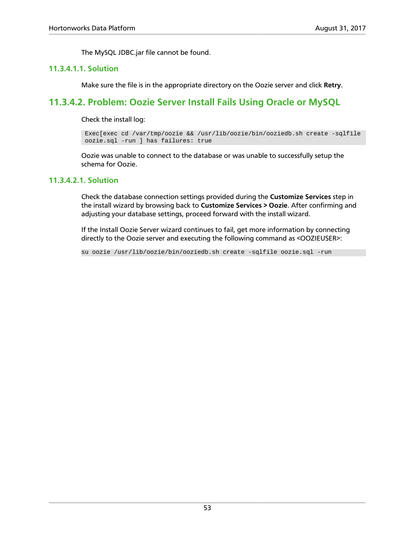The MySQL JDBC.jar file cannot be found.

#### **11.3.4.1.1. Solution**

Make sure the file is in the appropriate directory on the Oozie server and click **Retry**.

### **11.3.4.2. Problem: Oozie Server Install Fails Using Oracle or MySQL**

Check the install log:

 Exec[exec cd /var/tmp/oozie && /usr/lib/oozie/bin/ooziedb.sh create -sqlfile oozie.sql -run ] has failures: true

Oozie was unable to connect to the database or was unable to successfully setup the schema for Oozie.

#### **11.3.4.2.1. Solution**

Check the database connection settings provided during the **Customize Services** step in the install wizard by browsing back to **Customize Services > Oozie**. After confirming and adjusting your database settings, proceed forward with the install wizard.

If the Install Oozie Server wizard continues to fail, get more information by connecting directly to the Oozie server and executing the following command as <OOZIEUSER>:

su oozie /usr/lib/oozie/bin/ooziedb.sh create -sqlfile oozie.sql -run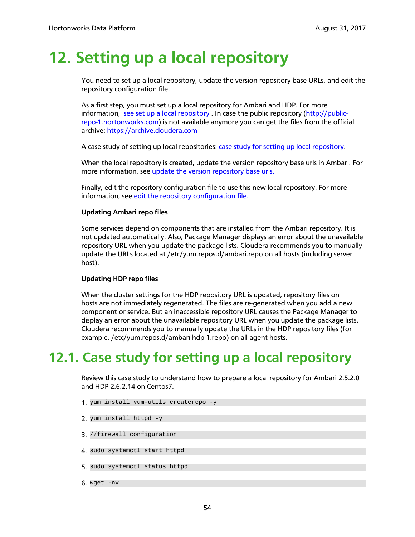# **12. Setting up a local repository**

You need to set up a local repository, update the version repository base URLs, and edit the repository configuration file.

As a first step, you must set up a local repository for Ambari and HDP. For more information, [see set up a local repository .](http://docs.hortonworks.com/HDPDocuments/Ambari-2.5.2.0/bk_ambari-installation/content/setting_up_a_local_repository_with_temporary_internet_access.html) In case the public repository ([http://public](http://public-repo-1.hortonworks.com)[repo-1.hortonworks.com](http://public-repo-1.hortonworks.com)) is not available anymore you can get the files from the official archive:<https://archive.cloudera.com>

A case-study of setting up local repositories: [case study for setting up local repository](#page-58-0).

When the local repository is created, update the version repository base urls in Ambari. For more information, see [update the version repository base urls.](http://docs.hortonworks.com/HDPDocuments/Ambari-2.5.2.0/bk_ambari-administration/content/update_version_repository_base_urls.html)

Finally, edit the repository configuration file to use this new local repository. For more information, see [edit the repository configuration file.](http://docs.hortonworks.com/HDPDocuments/Ambari-2.5.2.0/bk_ambari-installation/content/preparing_the_ambari_repository_configuration_file.html)

#### **Updating Ambari repo files**

Some services depend on components that are installed from the Ambari repository. It is not updated automatically. Also, Package Manager displays an error about the unavailable repository URL when you update the package lists. Cloudera recommends you to manually update the URLs located at /etc/yum.repos.d/ambari.repo on all hosts (including server host).

#### **Updating HDP repo files**

When the cluster settings for the HDP repository URL is updated, repository files on hosts are not immediately regenerated. The files are re-generated when you add a new component or service. But an inaccessible repository URL causes the Package Manager to display an error about the unavailable repository URL when you update the package lists. Cloudera recommends you to manually update the URLs in the HDP repository files (for example, /etc/yum.repos.d/ambari-hdp-1.repo) on all agent hosts.

## <span id="page-58-0"></span>**12.1. Case study for setting up a local repository**

Review this case study to understand how to prepare a local repository for Ambari 2.5.2.0 and HDP 2.6.2.14 on Centos7.

- 1. yum install yum-utils createrepo -y
- 2. yum install httpd -y
- 3. //firewall configuration
- 4. sudo systemctl start httpd
- 5. sudo systemctl status httpd
- 6. wget -nv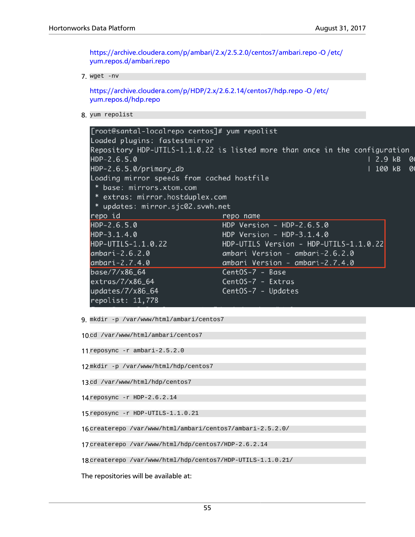[https://archive.cloudera.com/p/ambari/2.x/2.5.2.0/centos7/ambari.repo -O /etc/](https://archive.cloudera.com/p/ambari/2.x/2.5.2.0/centos7/ambari.repo -O /etc/yum.repos.d/ambari.repo) [yum.repos.d/ambari.repo](https://archive.cloudera.com/p/ambari/2.x/2.5.2.0/centos7/ambari.repo -O /etc/yum.repos.d/ambari.repo)

7. wget -nv

[https://archive.cloudera.com/p/HDP/2.x/2.6.2.14/centos7/hdp.repo -O /etc/](https://archive.cloudera.com/p/HDP/2.x/2.6.2.14/centos7/hdp.repo -O /etc/yum.repos.d/hdp.repo) [yum.repos.d/hdp.repo](https://archive.cloudera.com/p/HDP/2.x/2.6.2.14/centos7/hdp.repo -O /etc/yum.repos.d/hdp.repo)

8. yum repolist

| [root@santal-localrepo centos]# yum repolist |                                                                             |
|----------------------------------------------|-----------------------------------------------------------------------------|
| Loaded plugins: fastestmirror                |                                                                             |
|                                              | Repository HDP-UTILS-1.1.0.22 is listed more than once in the configuration |
| $HDP - 2.6.5.0$                              | 2.9 kB<br>01                                                                |
| HDP-2.6.5.0/primary_db                       | 100 kB<br>01                                                                |
| Loading mirror speeds from cached hostfile   |                                                                             |
| * base: mirrors.xtom.com                     |                                                                             |
| * extras: mirror.hostduplex.com              |                                                                             |
| * updates: mirror.sjc02.svwh.net             |                                                                             |
| repo id                                      | repo name                                                                   |
| $HDP-2.6.5.0$                                | HDP Version - HDP-2.6.5.0                                                   |
| $HDP-3.1.4.0$                                | HDP Version - HDP-3.1.4.0                                                   |
| HDP-UTILS-1.1.0.22                           | HDP-UTILS Version - HDP-UTILS-1.1.0.22                                      |
| ambari-2.6.2.0                               | ambari Version - ambari-2.6.2.0                                             |
| ambari-2.7.4.0                               | ambari Version - ambari-2.7.4.0                                             |
| base/7/x86_64                                | CentOS-7 - Base                                                             |
| $extras/7/x86_64$                            | CentOS-7 - Extras                                                           |
| updates/7/x86_64                             | CentOS-7 - Updates                                                          |
| repolist: $11,778$                           |                                                                             |

9. mkdir -p /var/www/html/ambari/centos7

```
10cd /var/www/html/ambari/centos7
```
- 11.reposync -r ambari-2.5.2.0
- 12<sup>mkdir</sup> -p /var/www/html/hdp/centos7
- 13cd /var/www/html/hdp/centos7
- 14.reposync -r HDP-2.6.2.14
- 15.reposync -r HDP-UTILS-1.1.0.21
- 16.createrepo /var/www/html/ambari/centos7/ambari-2.5.2.0/
- 17.createrepo /var/www/html/hdp/centos7/HDP-2.6.2.14
- 18.createrepo /var/www/html/hdp/centos7/HDP-UTILS-1.1.0.21/

The repositories will be available at: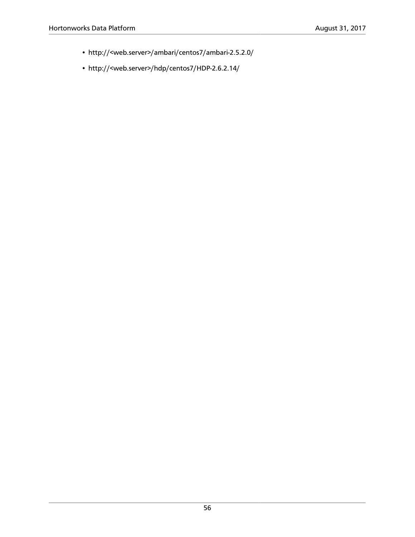- http://<web.server>/ambari/centos7/ambari-2.5.2.0/
- http://<web.server>/hdp/centos7/HDP-2.6.2.14/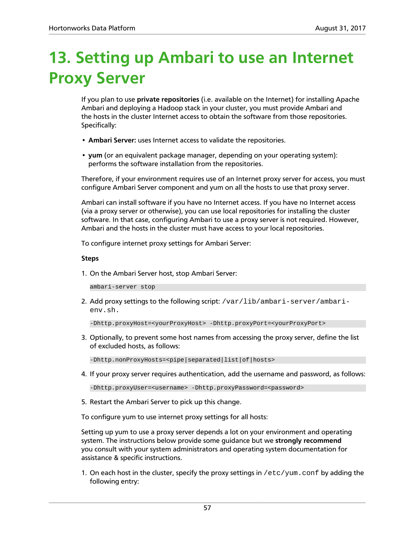# **13. Setting up Ambari to use an Internet Proxy Server**

If you plan to use **private repositories** (i.e. available on the Internet) for installing Apache Ambari and deploying a Hadoop stack in your cluster, you must provide Ambari and the hosts in the cluster Internet access to obtain the software from those repositories. Specifically:

- **Ambari Server:** uses Internet access to validate the repositories.
- **yum** (or an equivalent package manager, depending on your operating system): performs the software installation from the repositories.

Therefore, if your environment requires use of an Internet proxy server for access, you must configure Ambari Server component and yum on all the hosts to use that proxy server.

Ambari can install software if you have no Internet access. If you have no Internet access (via a proxy server or otherwise), you can use local repositories for installing the cluster software. In that case, configuring Ambari to use a proxy server is not required. However, Ambari and the hosts in the cluster must have access to your local repositories.

To configure internet proxy settings for Ambari Server:

#### **Steps**

1. On the Ambari Server host, stop Ambari Server:

ambari-server stop

2. Add proxy settings to the following script: /var/lib/ambari-server/ambarienv.sh.

-Dhttp.proxyHost=<yourProxyHost> -Dhttp.proxyPort=<yourProxyPort>

3. Optionally, to prevent some host names from accessing the proxy server, define the list of excluded hosts, as follows:

-Dhttp.nonProxyHosts=<pipe|separated|list|of|hosts>

4. If your proxy server requires authentication, add the username and password, as follows:

-Dhttp.proxyUser=<username> -Dhttp.proxyPassword=<password>

5. Restart the Ambari Server to pick up this change.

To configure yum to use internet proxy settings for all hosts:

Setting up yum to use a proxy server depends a lot on your environment and operating system. The instructions below provide some guidance but we **strongly recommend** you consult with your system administrators and operating system documentation for assistance & specific instructions.

1. On each host in the cluster, specify the proxy settings in  $/etc/$ yum.conf by adding the following entry: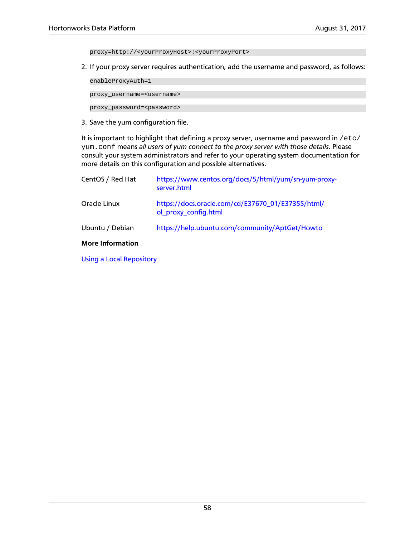proxy=http://<yourProxyHost>:<yourProxyPort>

2. If your proxy server requires authentication, add the username and password, as follows:

enableProxyAuth=1

proxy\_username=<username>

proxy\_password=<password>

3. Save the yum configuration file.

It is important to highlight that defining a proxy server, username and password in /etc/ yum.conf means *all users of yum connect to the proxy server with those details*. Please consult your system administrators and refer to your operating system documentation for more details on this configuration and possible alternatives.

| CentOS / Red Hat        | https://www.centos.org/docs/5/html/yum/sn-yum-proxy-<br>server.html       |
|-------------------------|---------------------------------------------------------------------------|
| Oracle Linux            | https://docs.oracle.com/cd/E37670_01/E37355/html/<br>ol_proxy_config.html |
| Ubuntu / Debian         | https://help.ubuntu.com/community/AptGet/Howto                            |
| <b>More Information</b> |                                                                           |

[Using a Local Repository](https://docs.hortonworks.com/HDPDocuments/Ambari-2.5.2.0/bk_ambari-installation/content/ch_using-local-repos.html)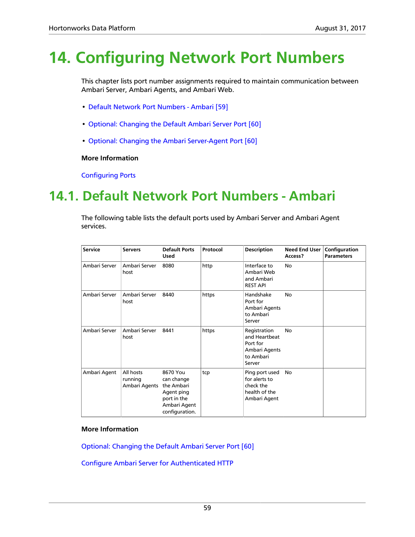# **14. Configuring Network Port Numbers**

This chapter lists port number assignments required to maintain communication between Ambari Server, Ambari Agents, and Ambari Web.

- [Default Network Port Numbers Ambari \[59\]](#page-63-0)
- [Optional: Changing the Default Ambari Server Port \[60\]](#page-64-0)
- [Optional: Changing the Ambari Server-Agent Port \[60\]](#page-64-1)

#### **More Information**

[Configuring Ports](https://docs.hortonworks.com/HDPDocuments/HDP2/HDP-2.6.2/bk_reference/content/reference_chap2.html)

## <span id="page-63-0"></span>**14.1. Default Network Port Numbers - Ambari**

The following table lists the default ports used by Ambari Server and Ambari Agent services.

| <b>Service</b> | <b>Servers</b>                        | <b>Default Ports</b><br><b>Used</b>                                                                 | Protocol | <b>Description</b>                                                                | <b>Need End User</b><br>Access? | Configuration<br><b>Parameters</b> |
|----------------|---------------------------------------|-----------------------------------------------------------------------------------------------------|----------|-----------------------------------------------------------------------------------|---------------------------------|------------------------------------|
| Ambari Server  | Ambari Server<br>host                 | 8080                                                                                                | http     | Interface to<br>Ambari Web<br>and Ambari<br><b>REST API</b>                       | No                              |                                    |
| Ambari Server  | Ambari Server<br>host                 | 8440                                                                                                | https    | Handshake<br>Port for<br>Ambari Agents<br>to Ambari<br>Server                     | <b>No</b>                       |                                    |
| Ambari Server  | Ambari Server<br>host                 | 8441                                                                                                | https    | Registration<br>and Heartbeat<br>Port for<br>Ambari Agents<br>to Ambari<br>Server | <b>No</b>                       |                                    |
| Ambari Agent   | All hosts<br>running<br>Ambari Agents | 8670 You<br>can change<br>the Ambari<br>Agent ping<br>port in the<br>Ambari Agent<br>configuration. | tcp      | Ping port used<br>for alerts to<br>check the<br>health of the<br>Ambari Agent     | <b>No</b>                       |                                    |

#### **More Information**

[Optional: Changing the Default Ambari Server Port \[60\]](#page-64-0)

[Configure Ambari Server for Authenticated HTTP](https://docs.hortonworks.com/HDPDocuments/Ambari-2.5.2.0/bk_ambari-security/content/configure_ambari_server_for_authenticated_http.html)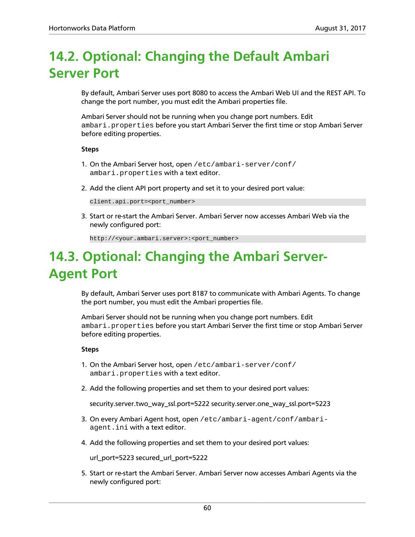## <span id="page-64-0"></span>**14.2. Optional: Changing the Default Ambari Server Port**

By default, Ambari Server uses port 8080 to access the Ambari Web UI and the REST API. To change the port number, you must edit the Ambari properties file.

Ambari Server should not be running when you change port numbers. Edit ambari.properties before you start Ambari Server the first time or stop Ambari Server before editing properties.

#### **Steps**

- 1. On the Ambari Server host, open /etc/ambari-server/conf/ ambari.properties with a text editor.
- 2. Add the client API port property and set it to your desired port value:

client.api.port=<port\_number>

3. Start or re-start the Ambari Server. Ambari Server now accesses Ambari Web via the newly configured port:

http://<your.ambari.server>:<port\_number>

## <span id="page-64-1"></span>**14.3. Optional: Changing the Ambari Server-Agent Port**

By default, Ambari Server uses port 8187 to communicate with Ambari Agents. To change the port number, you must edit the Ambari properties file.

Ambari Server should not be running when you change port numbers. Edit ambari.properties before you start Ambari Server the first time or stop Ambari Server before editing properties.

#### **Steps**

- 1. On the Ambari Server host, open /etc/ambari-server/conf/ ambari.properties with a text editor.
- 2. Add the following properties and set them to your desired port values:

security.server.two\_way\_ssl.port=5222 security.server.one\_way\_ssl.port=5223

- 3. On every Ambari Agent host, open /etc/ambari-agent/conf/ambariagent.ini with a text editor.
- 4. Add the following properties and set them to your desired port values:

url\_port=5223 secured\_url\_port=5222

5. Start or re-start the Ambari Server. Ambari Server now accesses Ambari Agents via the newly configured port: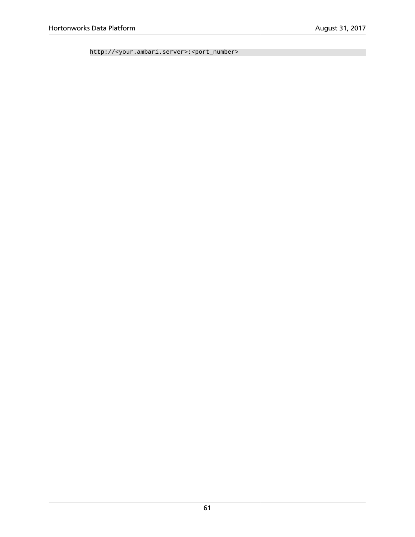http://<your.ambari.server>:<port\_number>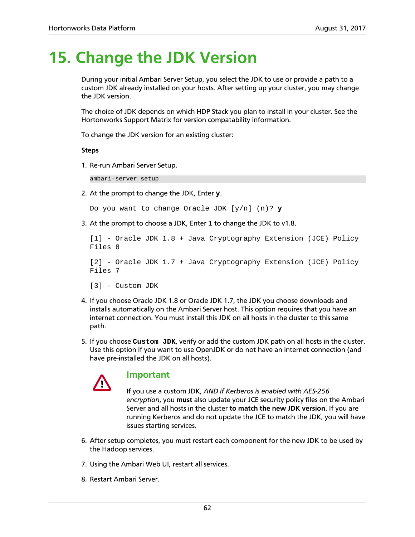# **15. Change the JDK Version**

During your initial Ambari Server Setup, you select the JDK to use or provide a path to a custom JDK already installed on your hosts. After setting up your cluster, you may change the JDK version.

The choice of JDK depends on which HDP Stack you plan to install in your cluster. See the Hortonworks Support Matrix for version compatability information.

To change the JDK version for an existing cluster:

**Steps**

1. Re-run Ambari Server Setup.

ambari-server setup

2. At the prompt to change the JDK, Enter **y**.

```
Do you want to change Oracle JDK [y/n] (n)? y
```
3. At the prompt to choose a JDK, Enter **1** to change the JDK to v1.8.

```
[1] - Oracle JDK 1.8 + Java Cryptography Extension (JCE) Policy
Files 8
[2] - Oracle JDK 1.7 + Java Cryptography Extension (JCE) Policy
Files 7
[3] - Custom JDK
```
- 4. If you choose Oracle JDK 1.8 or Oracle JDK 1.7, the JDK you choose downloads and installs automatically on the Ambari Server host. This option requires that you have an internet connection. You must install this JDK on all hosts in the cluster to this same path.
- 5. If you choose **Custom JDK**, verify or add the custom JDK path on all hosts in the cluster. Use this option if you want to use OpenJDK or do not have an internet connection (and have pre-installed the JDK on all hosts).



#### **Important**

If you use a custom JDK, *AND if Kerberos is enabled with AES-256 encryption*, you **must** also update your JCE security policy files on the Ambari Server and all hosts in the cluster **to match the new JDK version**. If you are running Kerberos and do not update the JCE to match the JDK, you will have issues starting services.

- 6. After setup completes, you must restart each component for the new JDK to be used by the Hadoop services.
- 7. Using the Ambari Web UI, restart all services.
- 8. Restart Ambari Server.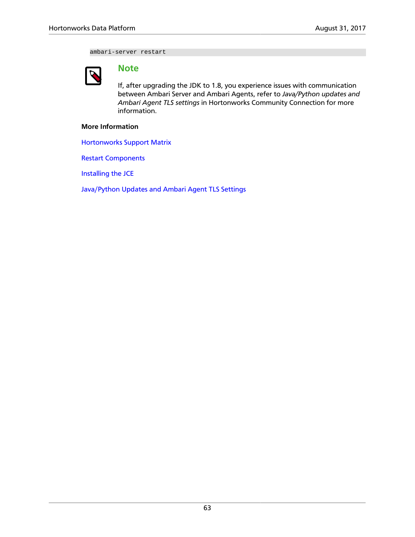ambari-server restart



### **Note**

If, after upgrading the JDK to 1.8, you experience issues with communication between Ambari Server and Ambari Agents, refer to *Java/Python updates and Ambari Agent TLS settings* in Hortonworks Community Connection for more information.

#### **More Information**

[Hortonworks Support Matrix](https://supportmatrix.hortonworks.com/)

[Restart Components](http://docs.hortonworks.com/HDPDocuments/Ambari-2.5.2.0/bk_ambari-operations/content/restarting_components.html)

[Installing the JCE](http://docs.hortonworks.com/HDPDocuments/Ambari-2.5.2.0/bk_ambari-security/content/installing_the_jce.html)

[Java/Python Updates and Ambari Agent TLS Settings](https://community.hortonworks.com/articles/188269/javapython-updates-and-ambari-agent-tls-settings.html)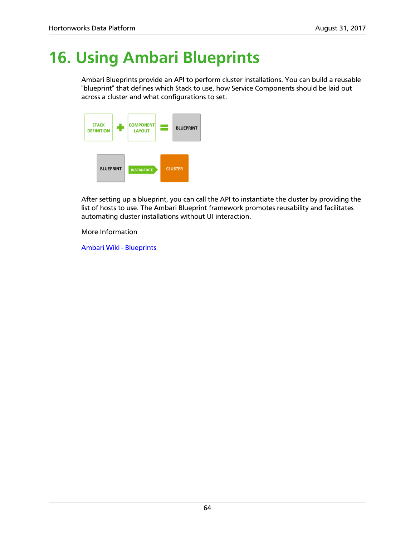# **16. Using Ambari Blueprints**

Ambari Blueprints provide an API to perform cluster installations. You can build a reusable "blueprint" that defines which Stack to use, how Service Components should be laid out across a cluster and what configurations to set.



After setting up a blueprint, you can call the API to instantiate the cluster by providing the list of hosts to use. The Ambari Blueprint framework promotes reusability and facilitates automating cluster installations without UI interaction.

More Information

[Ambari Wiki - Blueprints](https://cwiki.apache.org/confluence/display/AMBARI/Blueprints)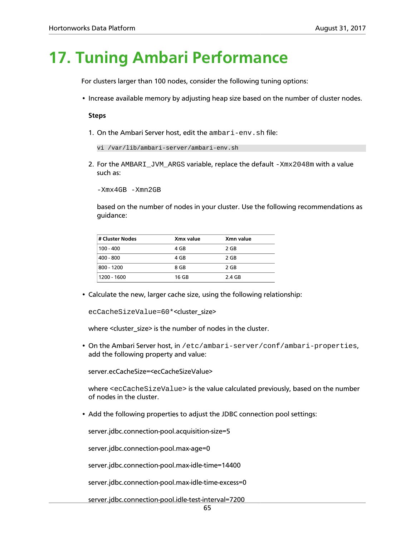## **17. Tuning Ambari Performance**

For clusters larger than 100 nodes, consider the following tuning options:

• Increase available memory by adjusting heap size based on the number of cluster nodes.

#### **Steps**

1. On the Ambari Server host, edit the ambari-env.sh file:

```
vi /var/lib/ambari-server/ambari-env.sh
```
2. For the AMBARI\_JVM\_ARGS variable, replace the default -Xmx2048m with a value such as:

-Xmx4GB -Xmn2GB

based on the number of nodes in your cluster. Use the following recommendations as guidance:

| # Cluster Nodes | Xmx value | Xmn value |
|-----------------|-----------|-----------|
| $100 - 400$     | 4 GB      | 2 GB      |
| 400 - 800       | 4 GB      | 2 GB      |
| 800 - 1200      | 8 GB      | 2 GB      |
| 1200 - 1600     | 16 GB     | 2.4 GB    |

• Calculate the new, larger cache size, using the following relationship:

ecCacheSizeValue=60\*<cluster\_size>

where <cluster\_size> is the number of nodes in the cluster.

• On the Ambari Server host, in /etc/ambari-server/conf/ambari-properties, add the following property and value:

server.ecCacheSize=<ecCacheSizeValue>

where <ecCacheSizeValue> is the value calculated previously, based on the number of nodes in the cluster.

• Add the following properties to adjust the JDBC connection pool settings:

server.jdbc.connection-pool.acquisition-size=5

server.jdbc.connection-pool.max-age=0

server.jdbc.connection-pool.max-idle-time=14400

server.jdbc.connection-pool.max-idle-time-excess=0

server.jdbc.connection-pool.idle-test-interval=7200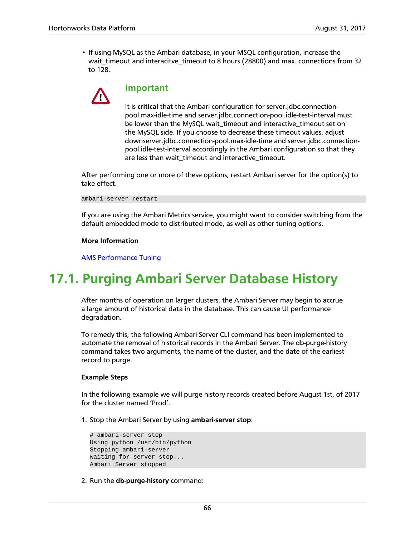• If using MySQL as the Ambari database, in your MSQL configuration, increase the wait\_timeout and interacitve\_timeout to 8 hours (28800) and max. connections from 32 to 128.



#### **Important**

It is **critical** that the Ambari configuration for server.jdbc.connectionpool.max-idle-time and server.jdbc.connection-pool.idle-test-interval must be lower than the MySQL wait\_timeout and interactive\_timeout set on the MySQL side. If you choose to decrease these timeout values, adjust downserver.jdbc.connection-pool.max-idle-time and server.jdbc.connectionpool.idle-test-interval accordingly in the Ambari configuration so that they are less than wait\_timeout and interactive\_timeout.

After performing one or more of these options, restart Ambari server for the option(s) to take effect.

ambari-server restart

If you are using the Ambari Metrics service, you might want to consider switching from the default embedded mode to distributed mode, as well as other tuning options.

#### **More Information**

[AMS Performance Tuning](https://docs.hortonworks.com/HDPDocuments/Ambari-2.5.2.0/bk_ambari-operations/content/ams_performance_tuning.html)

## **17.1. Purging Ambari Server Database History**

After months of operation on larger clusters, the Ambari Server may begin to accrue a large amount of historical data in the database. This can cause UI performance degradation.

To remedy this, the following Ambari Server CLI command has been implemented to automate the removal of historical records in the Ambari Server. The db-purge-history command takes two arguments, the name of the cluster, and the date of the earliest record to purge.

#### **Example Steps**

In the following example we will purge history records created before August 1st, of 2017 for the cluster named 'Prod'.

1. Stop the Ambari Server by using **ambari-server stop**:

```
# ambari-server stop
Using python /usr/bin/python
Stopping ambari-server
Waiting for server stop...
Ambari Server stopped
```
2. Run the **db-purge-history** command: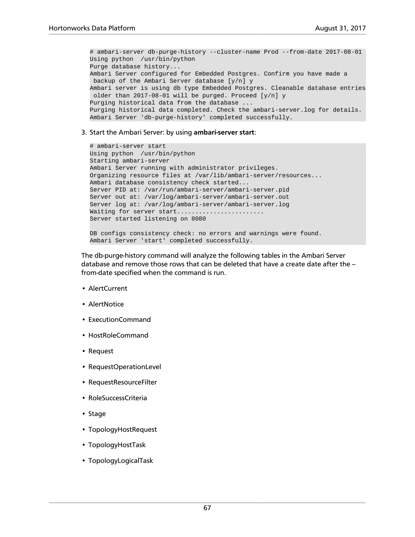# ambari-server db-purge-history --cluster-name Prod --from-date 2017-08-01 Using python /usr/bin/python Purge database history... Ambari Server configured for Embedded Postgres. Confirm you have made a backup of the Ambari Server database [y/n] y Ambari server is using db type Embedded Postgres. Cleanable database entries older than 2017-08-01 will be purged. Proceed [y/n] y Purging historical data from the database ... Purging historical data completed. Check the ambari-server.log for details. Ambari Server 'db-purge-history' completed successfully.

#### 3. Start the Ambari Server: by using **ambari-server start**:

```
# ambari-server start
Using python /usr/bin/python
Starting ambari-server
Ambari Server running with administrator privileges.
Organizing resource files at /var/lib/ambari-server/resources...
Ambari database consistency check started...
Server PID at: /var/run/ambari-server/ambari-server.pid
Server out at: /var/log/ambari-server/ambari-server.out
Server log at: /var/log/ambari-server/ambari-server.log
Waiting for server start........................
Server started listening on 8080
DB configs consistency check: no errors and warnings were found.
Ambari Server 'start' completed successfully.
```
The db-purge-history command will analyze the following tables in the Ambari Server database and remove those rows that can be deleted that have a create date after the  $$ from-date specified when the command is run.

- AlertCurrent
- AlertNotice
- ExecutionCommand
- HostRoleCommand
- Request
- RequestOperationLevel
- RequestResourceFilter
- RoleSuccessCriteria
- Stage
- TopologyHostRequest
- TopologyHostTask
- TopologyLogicalTask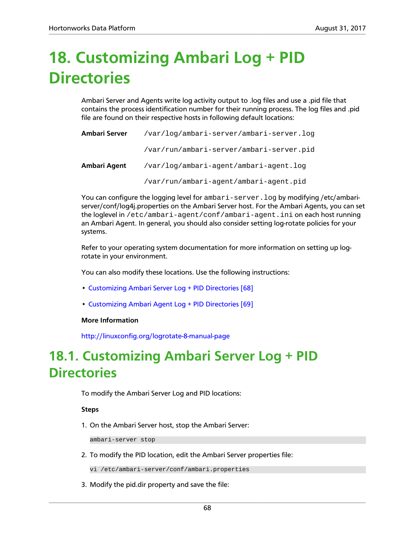# **18. Customizing Ambari Log + PID Directories**

Ambari Server and Agents write log activity output to .log files and use a .pid file that contains the process identification number for their running process. The log files and .pid file are found on their respective hosts in following default locations:

| Ambari Server | /var/log/ambari-server/ambari-server.log |  |  |
|---------------|------------------------------------------|--|--|
|               | /var/run/ambari-server/ambari-server.pid |  |  |
| Ambari Agent  | /var/log/ambari-agent/ambari-agent.log   |  |  |
|               | /var/run/ambari-agent/ambari-agent.pid   |  |  |

You can configure the logging level for ambari-server.log by modifying /etc/ambariserver/conf/log4j.properties on the Ambari Server host. For the Ambari Agents, you can set the loglevel in /etc/ambari-agent/conf/ambari-agent.ini on each host running an Ambari Agent. In general, you should also consider setting log-rotate policies for your systems.

Refer to your operating system documentation for more information on setting up logrotate in your environment.

You can also modify these locations. Use the following instructions:

- [Customizing Ambari Server Log + PID Directories \[68\]](#page-72-0)
- [Customizing Ambari Agent Log + PID Directories \[69\]](#page-73-0)

#### **More Information**

<http://linuxconfig.org/logrotate-8-manual-page>

# <span id="page-72-0"></span>**18.1. Customizing Ambari Server Log + PID Directories**

To modify the Ambari Server Log and PID locations:

**Steps**

1. On the Ambari Server host, stop the Ambari Server:

ambari-server stop

2. To modify the PID location, edit the Ambari Server properties file:

vi /etc/ambari-server/conf/ambari.properties

3. Modify the pid.dir property and save the file: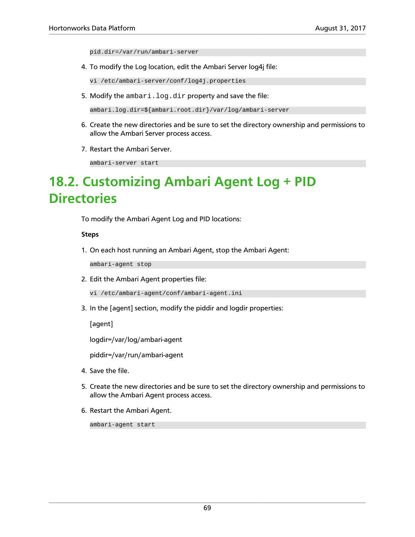pid.dir=/var/run/ambari-server

4. To modify the Log location, edit the Ambari Server log4j file:

vi /etc/ambari-server/conf/log4j.properties

5. Modify the ambari.log.dir property and save the file:

ambari.log.dir=\${ambari.root.dir}/var/log/ambari-server

- 6. Create the new directories and be sure to set the directory ownership and permissions to allow the Ambari Server process access.
- 7. Restart the Ambari Server.

ambari-server start

# <span id="page-73-0"></span>**18.2. Customizing Ambari Agent Log + PID Directories**

To modify the Ambari Agent Log and PID locations:

#### **Steps**

1. On each host running an Ambari Agent, stop the Ambari Agent:

ambari-agent stop

2. Edit the Ambari Agent properties file:

vi /etc/ambari-agent/conf/ambari-agent.ini

3. In the [agent] section, modify the piddir and logdir properties:

[agent]

logdir=/var/log/ambari-agent

piddir=/var/run/ambari-agent

- 4. Save the file.
- 5. Create the new directories and be sure to set the directory ownership and permissions to allow the Ambari Agent process access.
- 6. Restart the Ambari Agent.

ambari-agent start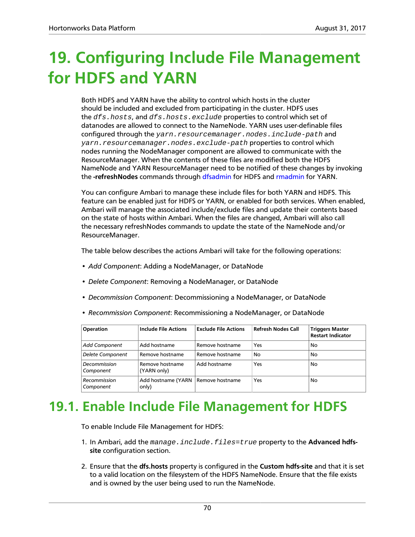# **19. Configuring Include File Management for HDFS and YARN**

Both HDFS and YARN have the ability to control which hosts in the cluster should be included and excluded from participating in the cluster. HDFS uses the dfs.hosts, and dfs.hosts.exclude properties to control which set of datanodes are allowed to connect to the NameNode. YARN uses user-definable files configured through the yarn.resourcemanager.nodes.include-path and yarn.resourcemanager.nodes.exclude-path properties to control which nodes running the NodeManager component are allowed to communicate with the ResourceManager. When the contents of these files are modified both the HDFS NameNode and YARN ResourceManager need to be notified of these changes by invoking the **-refreshNodes** commands through [dfsadmin](https://hadoop.apache.org/docs/r2.7.3/hadoop-project-dist/hadoop-hdfs/HdfsUserGuide.html) for HDFS and [rmadmin](https://hadoop.apache.org/docs/r2.7.3/hadoop-yarn/hadoop-yarn-site/YarnCommands.html) for YARN.

You can configure Ambari to manage these include files for both YARN and HDFS. This feature can be enabled just for HDFS or YARN, or enabled for both services. When enabled, Ambari will manage the associated include/exclude files and update their contents based on the state of hosts within Ambari. When the files are changed, Ambari will also call the necessary refreshNodes commands to update the state of the NameNode and/or ResourceManager.

The table below describes the actions Ambari will take for the following operations:

- *Add Component*: Adding a NodeManager, or DataNode
- *Delete Component*: Removing a NodeManager, or DataNode
- *Decommission Component*: Decommissioning a NodeManager, or DataNode
- *Recommission Component*: Recommissioning a NodeManager, or DataNode

| <b>Operation</b>          | <b>Include File Actions</b>    | <b>Exclude File Actions</b> | <b>Refresh Nodes Call</b> | <b>Triggers Master</b><br><b>Restart Indicator</b> |
|---------------------------|--------------------------------|-----------------------------|---------------------------|----------------------------------------------------|
| Add Component             | Add hostname                   | Remove hostname             | Yes                       | No                                                 |
| <b>Delete Component</b>   | Remove hostname                | Remove hostname             | No                        | No                                                 |
| Decommission<br>Component | Remove hostname<br>(YARN only) | Add hostname                | Yes                       | No                                                 |
| Recommission<br>Component | Add hostname (YARN<br>only)    | Remove hostname             | Yes                       | No                                                 |

### **19.1. Enable Include File Management for HDFS**

To enable Include File Management for HDFS:

- 1. In Ambari, add the manage.include.files=true property to the **Advanced hdfssite** configuration section.
- 2. Ensure that the **dfs.hosts** property is configured in the **Custom hdfs-site** and that it is set to a valid location on the filesystem of the HDFS NameNode. Ensure that the file exists and is owned by the user being used to run the NameNode.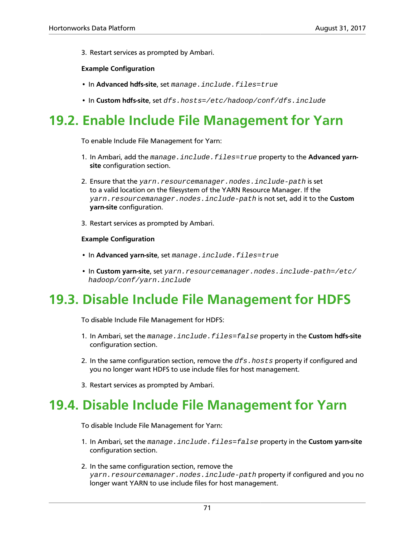3. Restart services as prompted by Ambari.

### **Example Configuration**

- In **Advanced hdfs-site**, set manage.include.files=true
- In **Custom hdfs-site**, set dfs.hosts=/etc/hadoop/conf/dfs.include

## **19.2. Enable Include File Management for Yarn**

To enable Include File Management for Yarn:

- 1. In Ambari, add the manage . include . files=true property to the **Advanced yarnsite** configuration section.
- 2. Ensure that the yarn.resourcemanager.nodes.include-path is set to a valid location on the filesystem of the YARN Resource Manager. If the yarn.resourcemanager.nodes.include-path is not set, add it to the **Custom yarn-site** configuration.
- 3. Restart services as prompted by Ambari.

### **Example Configuration**

- In **Advanced yarn-site**, set manage.include.files=true
- In **Custom yarn-site**, set yarn.resourcemanager.nodes.include-path=/etc/ hadoop/conf/yarn.include

# **19.3. Disable Include File Management for HDFS**

To disable Include File Management for HDFS:

- 1. In Ambari, set the manage.include.files=false property in the **Custom hdfs-site** configuration section.
- 2. In the same configuration section, remove the  $dfs.$  hosts property if configured and you no longer want HDFS to use include files for host management.
- 3. Restart services as prompted by Ambari.

### **19.4. Disable Include File Management for Yarn**

To disable Include File Management for Yarn:

- 1. In Ambari, set the manage.include.files=false property in the **Custom yarn-site** configuration section.
- 2. In the same configuration section, remove the yarn.resourcemanager.nodes.include-path property if configured and you no longer want YARN to use include files for host management.